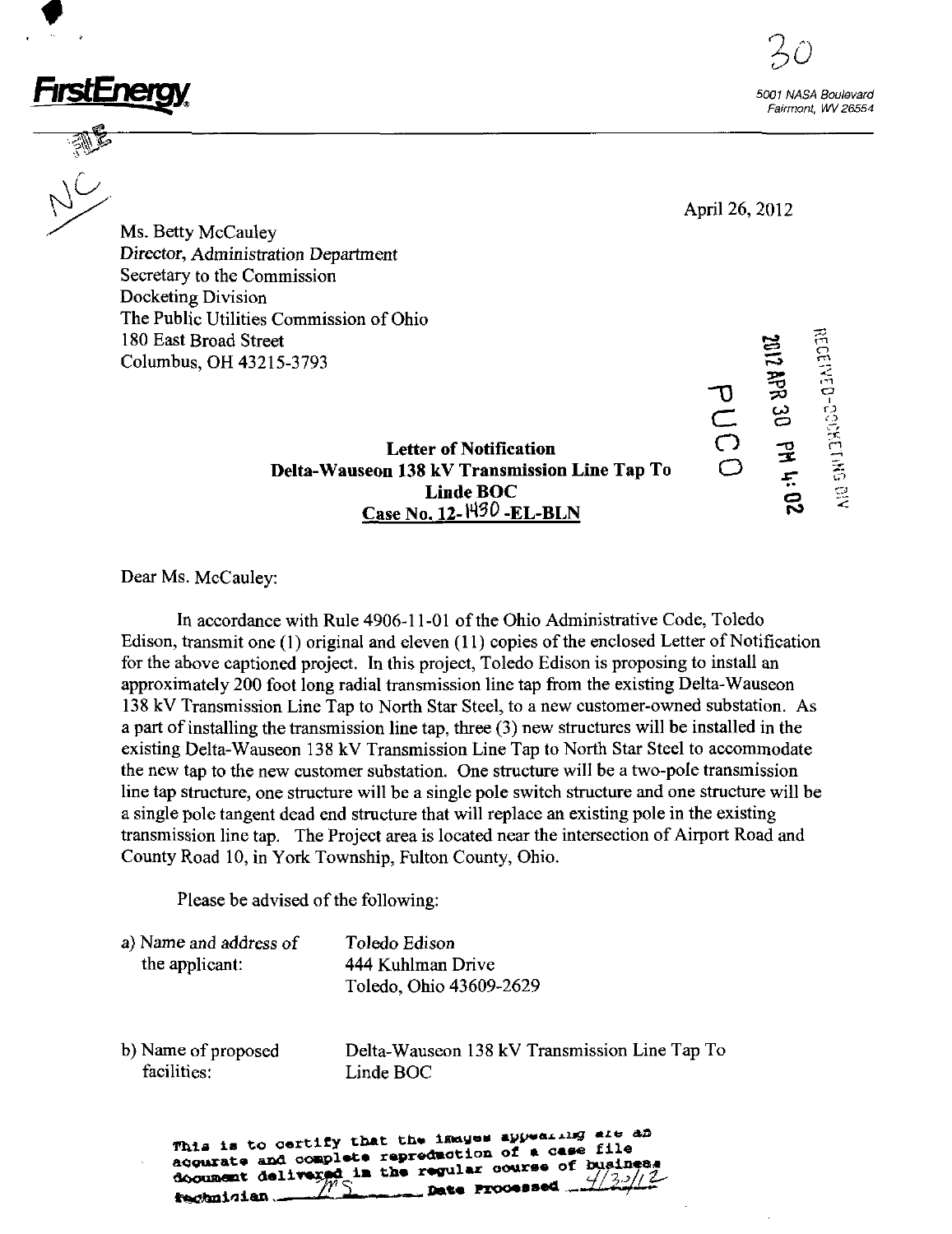



 $\sigma$   $\approx$   $\frac{3}{5}$  $\overline{\mathsf{C}}$  as  $\overline{\mathbb{S}}$ 

April 26, 2012

Ms, Betty McCauley Director, Administration Department Secretary to the Commission Docketing Division The Public Utilities Commission of Ohio 180 East Broad Street  $\Xi$   $\tilde{\Xi}$ Columbus, OH 43215-3793 ^

> Letter of Notification  $\mathbb{C}^3$   $\mathbb{R}^3$ Delta-Wauseon 138 kV Transmission Line Tap To<br>Linde BOC  $\Box$ Linde BOC  $\Box$ Case No, 12-W30 -EL-BLN f^

Dear Ms. McCauley:

In accordance v^ith Rule 4906-11-01 ofthe Ohio Administrative Code, Toledo Edison, transmit one  $(1)$  original and eleven  $(11)$  copies of the enclosed Letter of Notification for the above captioned project. In this project, Toledo Edison is proposing to install an approximately 200 foot long radial transmission line tap from the existing Delta-Wauseon 138 kV Transmission Line Tap to North Star Steel, to a new customer-owned substation. As a part of installing the transmission line tap, three (3) new structures will be installed in the existing Delta-Wauseon 138 kV Transmission Line Tap to North Star Steel to accommodate the new tap to the new customer substation. One structure will be a two-pole transmission line tap structure, one structure will be a single pole switch structure and one structure will be a single pole tangent dead end structure that will replace an existing pole in the existing transmission line tap. The Project area is located near the intersection of Airport Road and County Road 10, in York Township, Fulton County, Ohio.

Please be advised of the following:

| a) Name and address of | Toledo Edison           |
|------------------------|-------------------------|
| the applicant:         | 444 Kuhlman Drive       |
|                        | Toledo, Ohio 43609-2629 |

facilities: Linde BOC

b) Name of proposed Delta-Wauseon 138 kV Transmission Line Tap To

This is to certify that the images appearing are an acquarate and complete repreduction of a case file acqurate and complete reprediction of which counsel<br>document delivered in the regular course of busines <u>s</u> Date fachnician.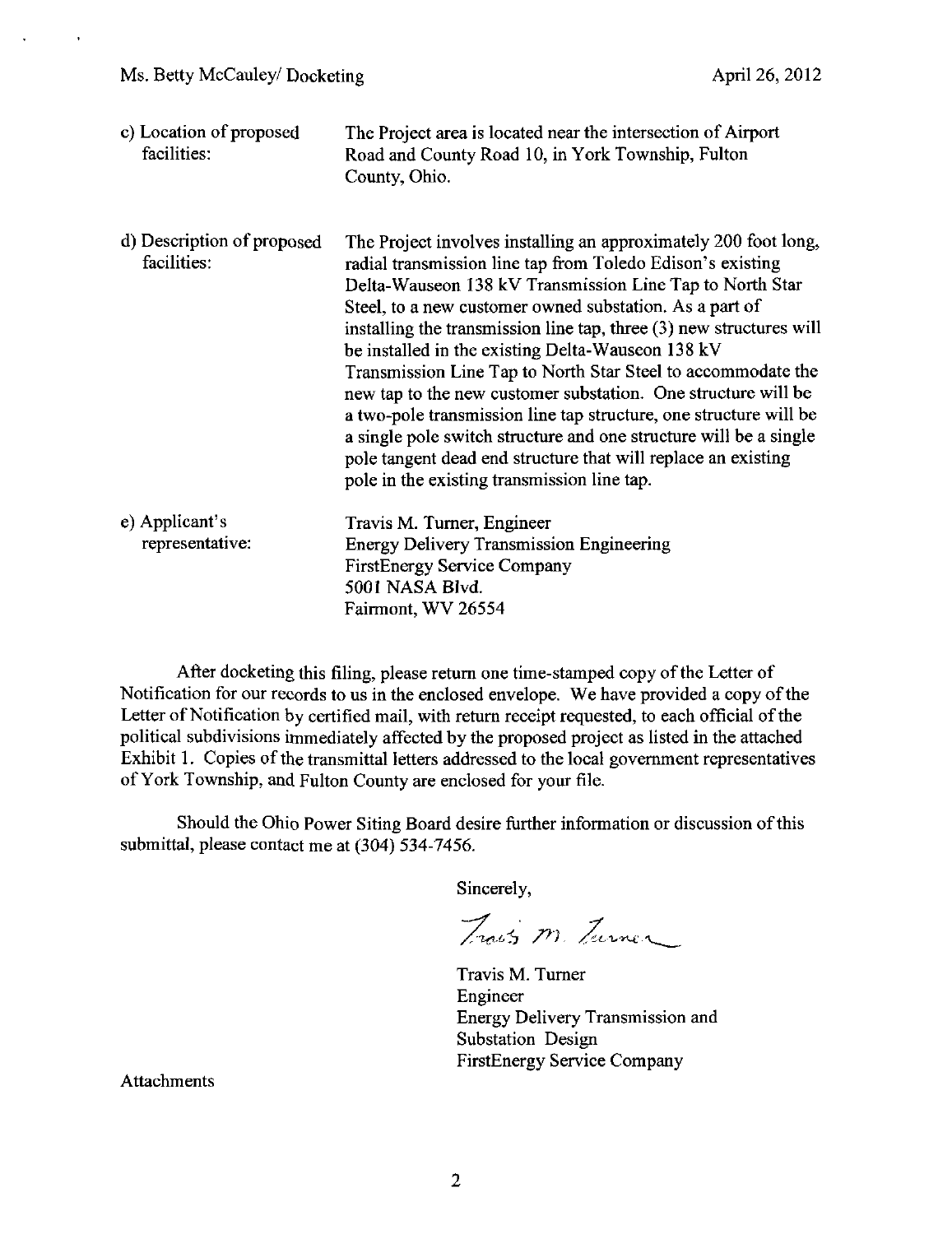| c) Location of proposed<br>facilities:    | The Project area is located near the intersection of Airport<br>Road and County Road 10, in York Township, Fulton<br>County, Ohio.                                                                                                                                                                                                                                                                                                                                                                                                                                                                                                                                                                                                                                          |
|-------------------------------------------|-----------------------------------------------------------------------------------------------------------------------------------------------------------------------------------------------------------------------------------------------------------------------------------------------------------------------------------------------------------------------------------------------------------------------------------------------------------------------------------------------------------------------------------------------------------------------------------------------------------------------------------------------------------------------------------------------------------------------------------------------------------------------------|
| d) Description of proposed<br>facilities: | The Project involves installing an approximately 200 foot long,<br>radial transmission line tap from Toledo Edison's existing<br>Delta-Wauseon 138 kV Transmission Line Tap to North Star<br>Steel, to a new customer owned substation. As a part of<br>installing the transmission line tap, three (3) new structures will<br>be installed in the existing Delta-Wauseon 138 kV<br>Transmission Line Tap to North Star Steel to accommodate the<br>new tap to the new customer substation. One structure will be<br>a two-pole transmission line tap structure, one structure will be<br>a single pole switch structure and one structure will be a single<br>pole tangent dead end structure that will replace an existing<br>pole in the existing transmission line tap. |
| e) Applicant's<br>representative:         | Travis M. Turner, Engineer<br><b>Energy Delivery Transmission Engineering</b><br><b>FirstEnergy Service Company</b><br>5001 NASA Blvd.<br>Fairmont, WV 26554                                                                                                                                                                                                                                                                                                                                                                                                                                                                                                                                                                                                                |

After docketing this filing, please return one time-stamped copy of the Letter of Notification for our records to us in the enclosed envelope. We have provided a copy of the Letter of Notification by certified mail, with return receipt requested, to each official of the political subdivisions immediately affected by the proposed project as listed in the attached Exhibit 1. Copies of the transmittal letters addressed to the local government representatives of York Township, and Fulton County are enclosed for your tile.

Should the Ohio Power Siting Board desire further information or discussion of this submittal, please contact me at (304) 534-7456.

Sincerely,

Traits M. Turner

Travis M. Tumer Engineer Energy Delivery Transmission and Substation Design FirstEnergy Service Company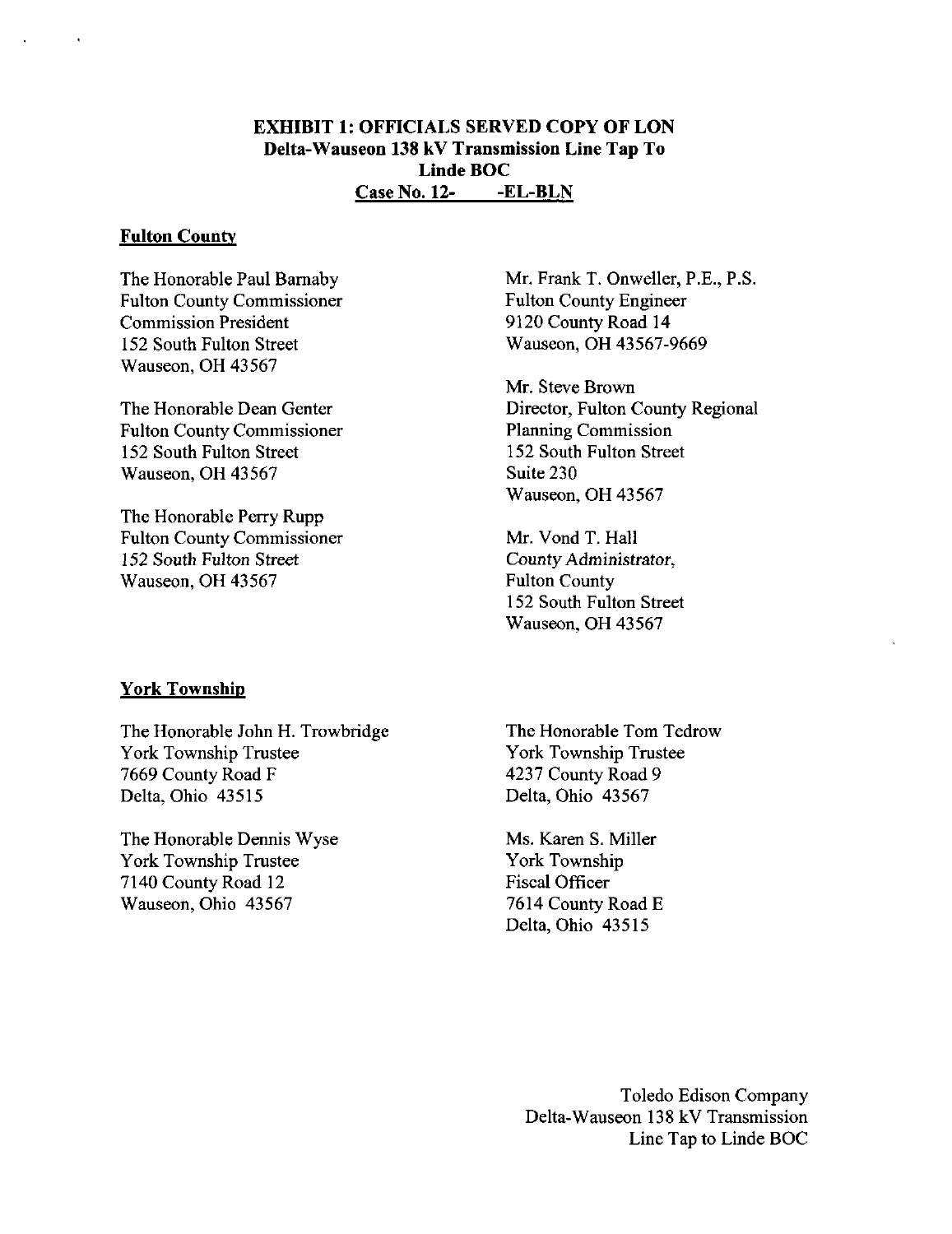### EXHIBIT 1: OFFICIALS SERVED COPY OF LON Delta-Wauseon 138 kV Transmission Line Tap To Linde BOC Case No. 12- -EL-BLN

#### Fulton County

The Honorable Paul Bamaby Fulton County Commissioner Commission President 152 South Fulton Street Wauseon, OH 43567

The Honorable Dean Center Fulton County Commissioner 152 South Fulton Street Wauseon, OH 43567

The Honorable Perry Rupp Fulton County Commissioner 152 South Fulton Street Wauseon, OH 43567

Mr. Frank T. Onweller, P.E., P.S. Fulton County Engineer 9120 County Road 14 Wauseon, OH 43567-9669

Mr. Steve Brown Director, Fulton County Regional Planning Commission 152 South Fulton Street Suite 230 Wauseon, OH 43567

Mr. Vond T. Hall County Administrator, Fulton County 152 South Fulton Street Wauseon, OH 43567

#### York Township

The Honorable John H. Trowbridge York Township Trustee 7669 County Road F Delta, Ohio 43515

The Honorable Dermis Wyse York Township Trustee 7140 County Road 12 Wauseon, Ohio 43567

The Honorable Tom Tedrow York Township Trustee 4237 County Road 9 Delta, Ohio 43567

Ms. Karen S. Miller York Township Fiscal Officer 7614 County Road E Delta, Ohio 43515

> Toledo Edison Company Delta-Wauseon 138 kV Transmission Line Tap to Linde BOC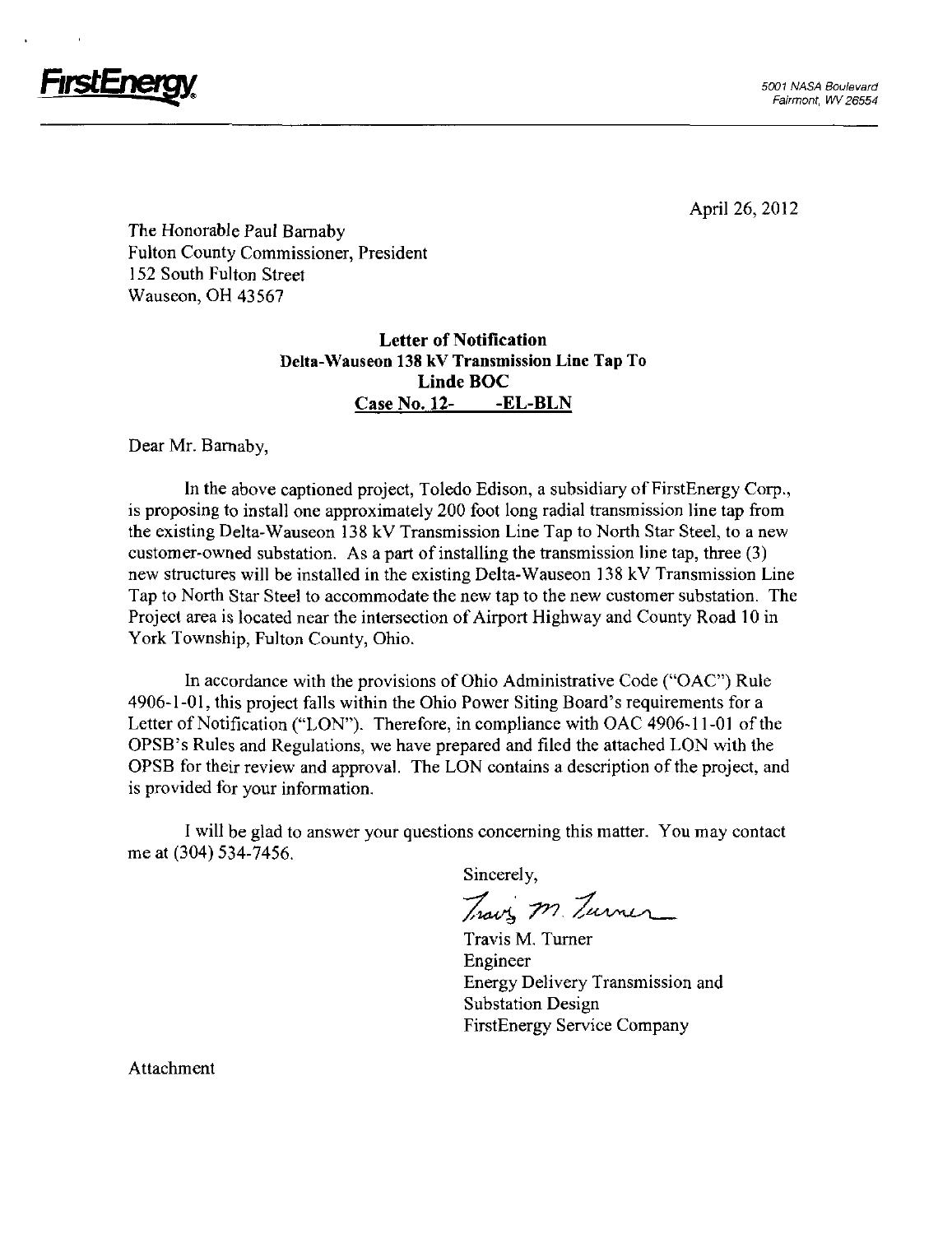

The Honorable Paul Bamaby Fulton County Commissioner, President 152 South Fulton Street Wauseon, OH 43567

### Letter of Notification Delta-Wauseon 138 kV Transmission Line Tap To Linde BOC Case No. 12- -EL-BLN

Dear Mr. Bamaby,

In the above captioned project, Toledo Edison, a subsidiary of FirstEnergy Corp., is proposing to install one approximately 200 foot long radial transmission line tap from the existing Delta-Wauseon 138 kV Transmission Line Tap to North Star Steel, to a new customer-owned substation. As a part of installing the transmission line tap, three (3) new structures will be installed in the existing Delta-Wauseon 138 kV Transmission Line Tap to North Star Steel to accommodate the new tap to the new customer substation. The Project area is located near the intersection of Airport Highway and County Road 10 in York Township, Fulton County, Ohio.

In accordance with the provisions of Ohio Administrative Code ("OAC") Rule 4906-1-01, this project falls within the Ohio Power Siting Board's requirements for a Letter of Notification ("LON"). Therefore, in compliance with OAC 4906-11-01 of the OPSB's Rules and Regulations, we have prepared and filed the attached LON with the OPSB for their review and approval. The LON contains a description of the project, and is provided for your information,

I will be glad to answer your questions conceming this matter. You may contact me at (304) 534-7456.

Sincerely,

Travis m. Turner

Travis M, Tumer Engineer Energy Delivery Transmission and Substation Design FirstEnergy Service Company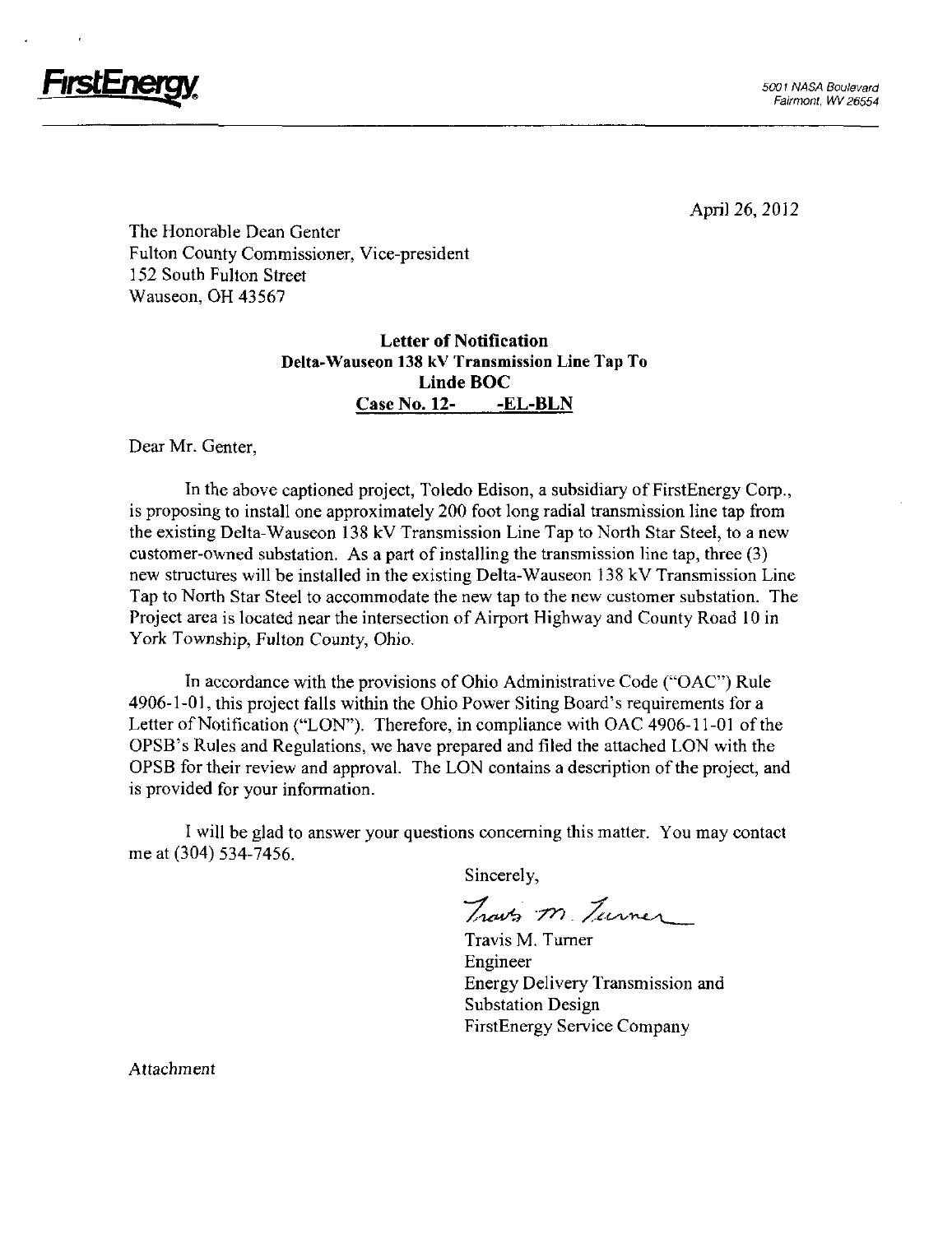

The Honorable Dean Center Fulton County Commissioner, Vice-president 152 South Fulton Street Wauseon, OH 43567

### Letter of Notification Delta-Wauseon 138 kV Transmission Line Tap To Linde BOC Case No. 12- -EL-BLN

Dear Mr. Center,

In the above captioned project, Toledo Edison, a subsidiary of FirstEnergy Corp., is proposing to install one approximately 200 foot long radial transmission line tap from the existing Delta-Wauseon 138 kV Transmission Line Tap to North Star Steel, to a new customer-owned substation. As a part of installing the transmission line tap, three (3) new structures will be installed in the existing Delta-Wauseon 138 kV Transmission Line Tap to North Star Steel to accommodate the new tap to the new customer substation. The Project area is located near the intersection of Airport Highway and County Road 10 in York Township, Fulton County, Ohio.

In accordance with the provisions of Ohio Administrative Code ("OAC") Rule 4906-1-01, this project falls within the Ohio Power Siting Board's requirements for a Letter of Notification ("LON"). Therefore, in compliance with OAC 4906-11-01 of the OPSB's Rules and Regulations, we have prepared and filed the attached LON with the OPSB for their review and approval. The LON contains a description of the project, and is provided for your information.

I will be glad to answer your questions conceming this matter. You may contact me at (304) 534-7456.

Sincerely,

Traves m. Turner

Travis M. Tumer Engineer Energy Delivery Transmission and Substation Design FirstEnergy Service Company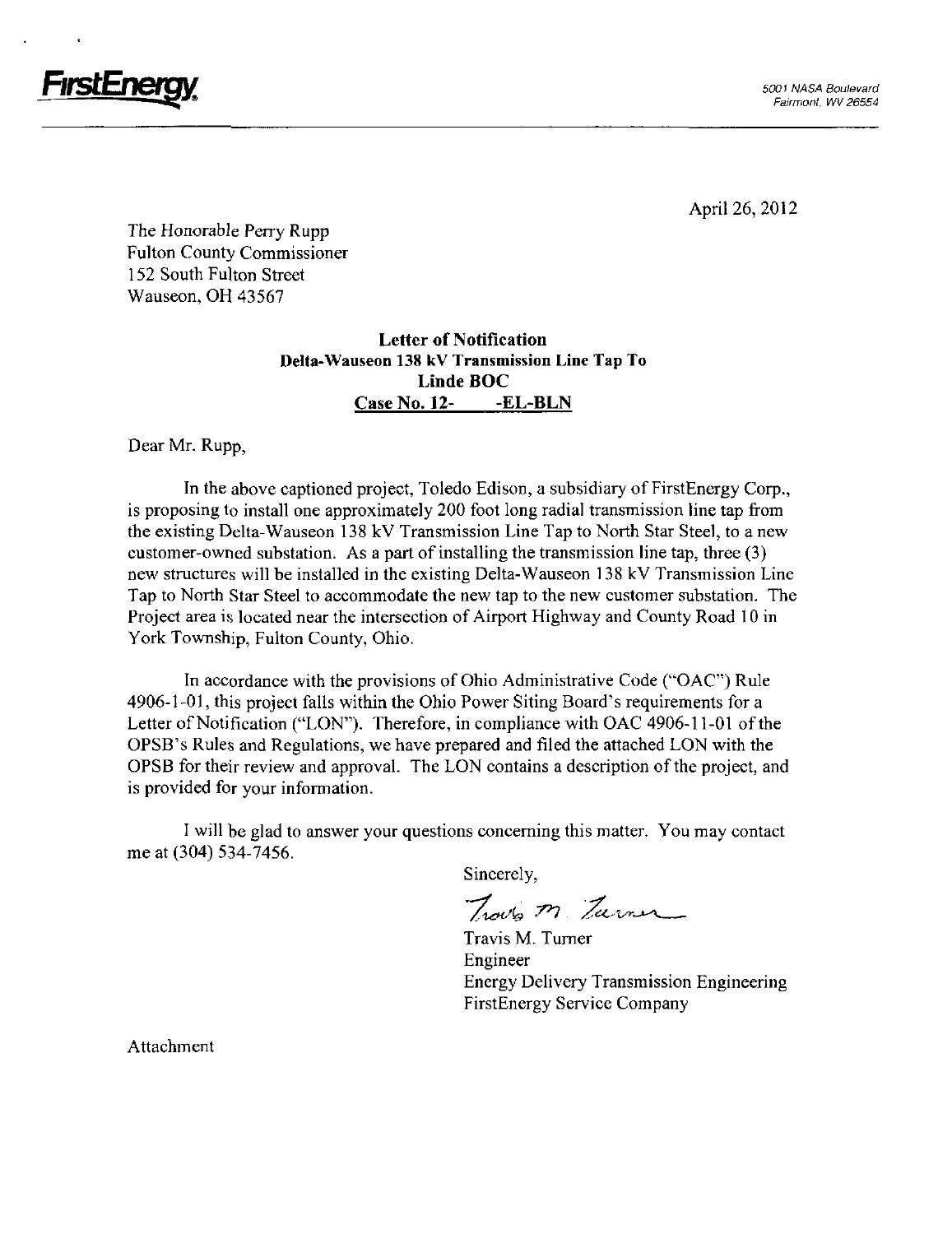

The Honorable Perry Rupp Fulton County Commissioner 152 South Fulton Street Wauseon, OH 43567

### Letter of Notification Delta-Wauseon 138 kV Transmission Line Tap To Linde BOC Case No. 12- -EL-BLN

Dear Mr. Rupp,

In the above captioned project, Toledo Edison, a subsidiary of FirstEnergy Corp., is proposing to install one approximately 200 foot long radial transmission line tap from the existing Delta-Wauseon 138 kV Transmission Line Tap to North Star Steel, to a new customer-owned substation. As a part of installing the transmission line tap, three (3) new structures will be installed in the existing Delta-Wauseon 138 kV Transmission Line Tap to North Star Steel to accommodate the new tap to the new customer substation. The Project area is located near the intersection of Airport Highway and County Road 10 in York Township, Fulton County, Ohio.

In accordance with the provisions of Ohio Administrative Code ("OAC") Rule 4906-1 -01, this project falls within the Ohio Power Siting Board's requirements for a Letter of Notification ("LON"). Therefore, in compliance with OAC 4906-11-01 ofthe OPSB's Rules and Regulations, we have prepared and filed the attached LON with the OPSB for their review and approval. The LON contains a description of the project, and is provided for your information.

I will be glad to answer your questions concerning this matter. You may contact me at (304) 534-7456.

Sincerely,

Traves M. Zurner

Travis M. Turner Engineer Energy Delivery Transmission Engineering FirstEnergy Service Company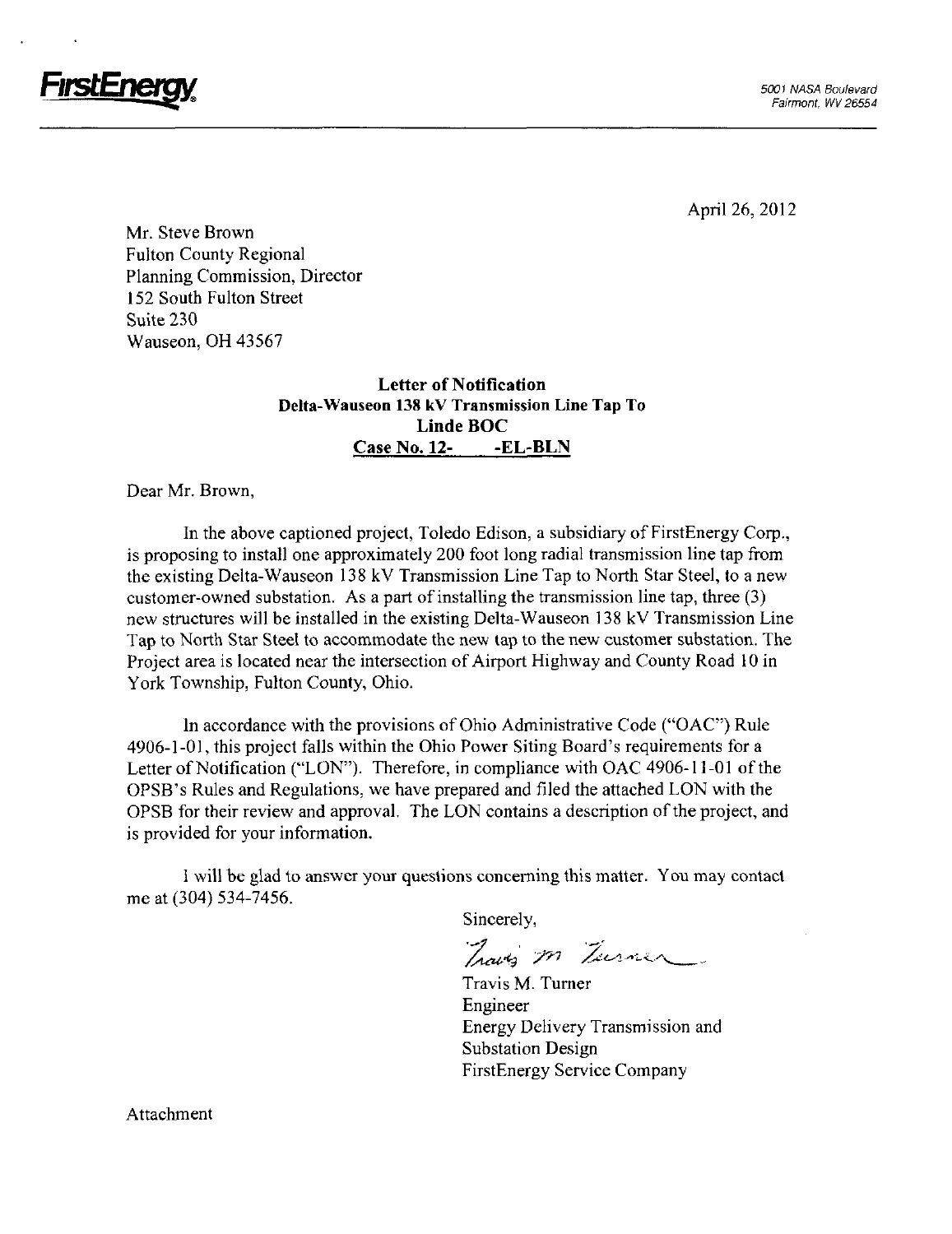

Mr. Steve Brown Fulton County Regional Planning Commission, Director 152 South Fulton Street Suite 230 Wauseon, OH 43567

#### Letter of Notification Delta-Wauseon 138 kV Transmission Line Tap To Linde BOC Case No. 12- -EL-BLN

Dear Mr. Brown,

In the above captioned project, Toledo Edison, a subsidiary of FirstEnergy Corp., is proposing to install one approximately 200 foot long radial transmission line tap from the existing Delta-Wauseon 138 kV Transmission Line Tap to North Star Steel, to a new customer-owned substation. As a part of installing the transmission line tap, three (3) new stmctures will be installed in the existing Delta-Wauseon 138 kV Transmission Line Tap to North Star Steel to accommodate the new tap to the new customer substation. The Project area is located near the intersection of Airport Highway and County Road 10 in York Township, Fulton County, Ohio.

In accordance with the provisions of Ohio Administrative Code ("OAC") Rule 4906-1-01, this project falls within the Ohio Power Siting Board's requirements for a Letter of Notification ("LON"). Therefore, in compliance with OAC 4906-11-01 of the OPSB's Rules and Regulations, we have prepared and filed the attached LON with the OPSB for their review and approval. The LON contains a description of the project, and is provided for your information.

I will be glad to answer your questions conceming this matter. You may contact me at (304) 534-7456.

Sincerely,

Traves m Turner

Travis M. Tumer Engineer Energy Delivery Transmission and Substation Design FirstEnergy Service Company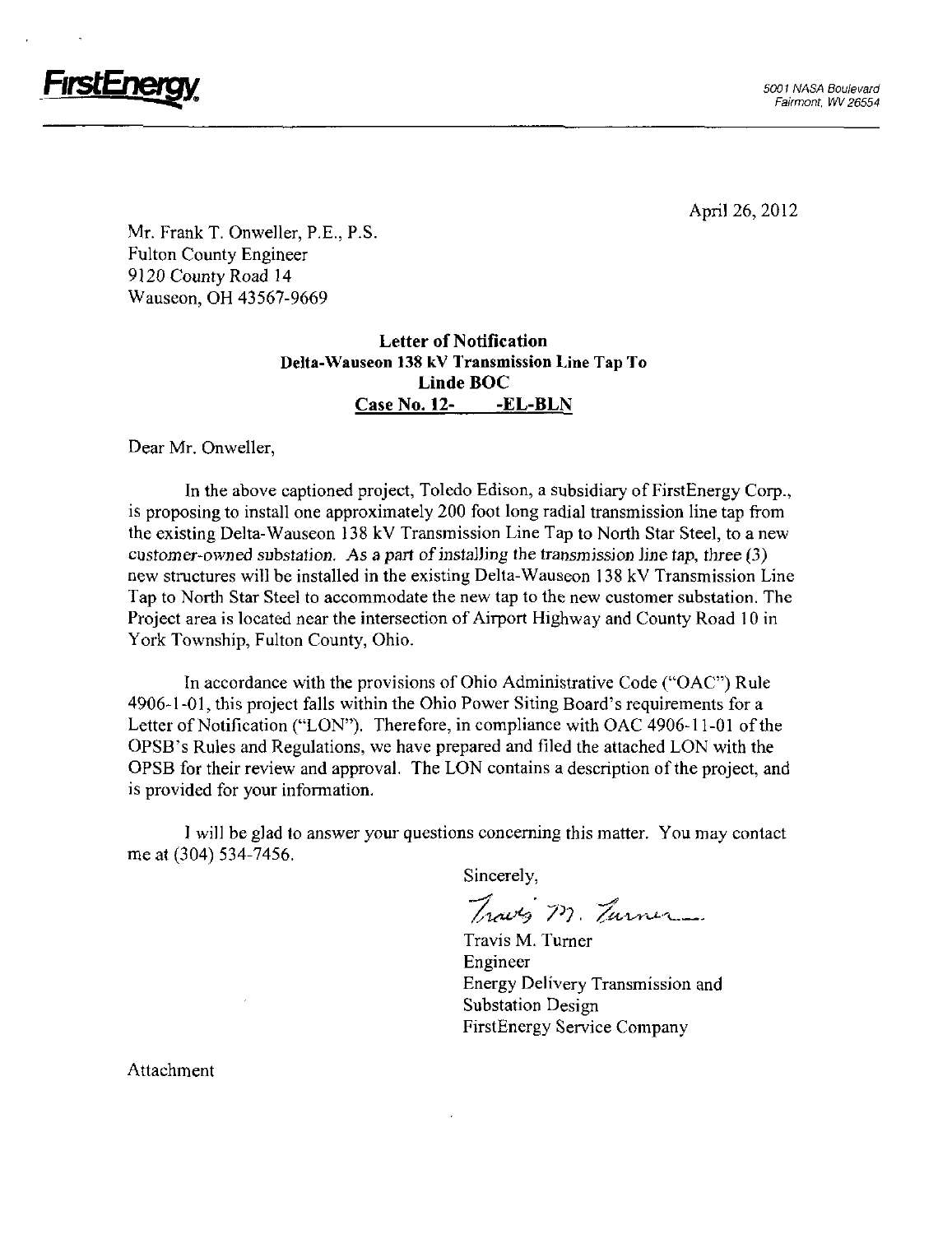

Mr. Frank T. Onweller, P.E., P.S. Fulton County Engineer 9120 County Road 14 Wauseon, OH 43567-9669

### Letter of Notification Delta-Wauseon 138 kV Transmission Line Tap To Linde BOC Case No. 12- -EL-BLN

Dear Mr. Onweller,

In the above captioned project, Toledo Edison, a subsidiary of FirstEnergy Corp., is proposing to install one approximately 200 foot long radial transmission line tap from the existing Delta-Wauseon 138 kV Transmission Line Tap to North Star Steel, to a new customer-owned substation. As a part of installing the transmission line tap, three (3) new structures will be installed in the existing Delta-Wauseon 138 kV Transmission Line Tap to North Star Steel to accommodate the new tap to the new customer substation. The Project area is located near the intersection of Airport Highway and County Road 10 in York Township, Fulton County, Ohio.

In accordance with the provisions of Ohio Administrative Code ("OAC") Rule 4906-1-01, this project falls within the Ohio Power Siting Board's requirements for a Letter of Notification ("LON"). Therefore, in compliance with OAC 4906-11-01 of the OPSB's Rules and Regulations, we have prepared and filed the attached LON with the OPSB for their review and approval. The LON contains a description of the project, and is provided for your information.

I will be glad to answer your questions conceming this matter. You may contact me at (304) 534-7456.

Sincerely,

Traves M. Turner

Travis M. Tumer Engineer Energy Delivery Transmission and Substation Design FirstEnergy Service Company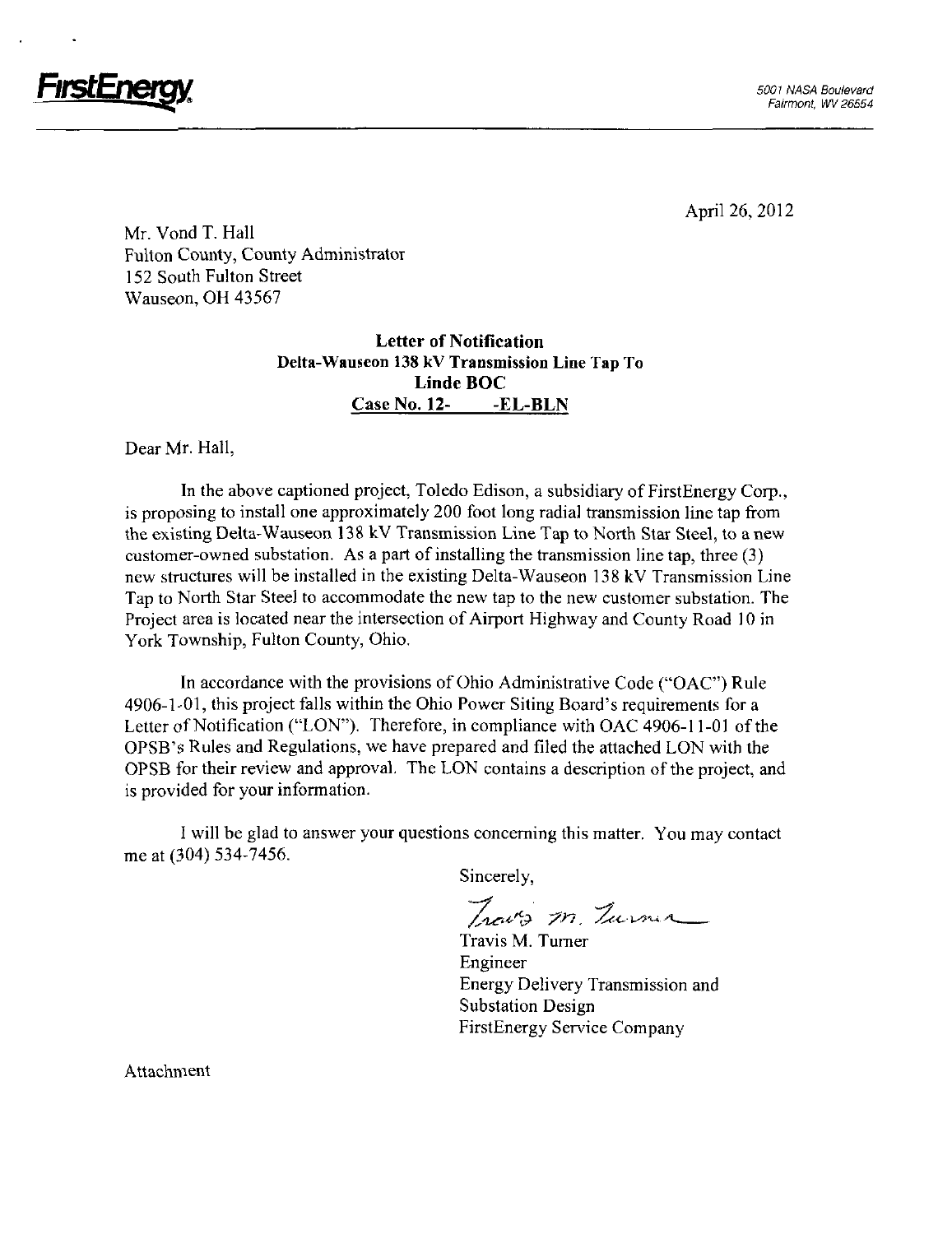

FirstEnergy and the set of the set of the set of the set of the set of the set of the set of the set of the set of the set of the set of the set of the set of the set of the set of the set of the set of the set of the set

April 26, 2012

Mr. Vond T. Hall Fulton County, County Administrator 152 South Fulton Street Wauseon, OH 43567

### Letter of Notification Delta-Wauseon 138 kV Transmission Line Tap To Linde BOC Case No. 12- - EL-BLN

Dear Mr. Hall,

In the above captioned project, Toledo Edison, a subsidiary of FirstEnergy Corp., is proposing to install one approximately 200 foot long radial transmission line tap from the existing Delta-Wauseon 138 kV Transmission Line Tap to North Star Steel, to a new customer-owned substation. As a part of installing the transmission line tap, three (3) new structures will be installed in the existing Delta-Wauseon 138 kV Transmission Line Tap to North Star Steel to accommodate the new tap to the new customer substation. The Project area is located near the intersection of Airport Highway and County Road 10 in York Township, Fulton County, Ohio.

In accordance with the provisions of Ohio Administrative Code ("OAC") Rule 4906-1-01, this project falls within the Ohio Power Siting Board's requirements for a Letter of Notification ("LON"). Therefore, in compliance with OAC 4906-11-01 of the OPSB's Rules and Regulations, we have prepared and filed the attached LON with the OPSB for their review and approval. The LON contains a description ofthe project, and is provided for your information.

I will be glad to answer your questions conceming this matter. You may contact me at (304) 534-7456.

Sincerely,

Trouts m. Turner

Travis M. Tumer Engineer Energy Delivery Transmission and Substation Design FirstEnergy Service Company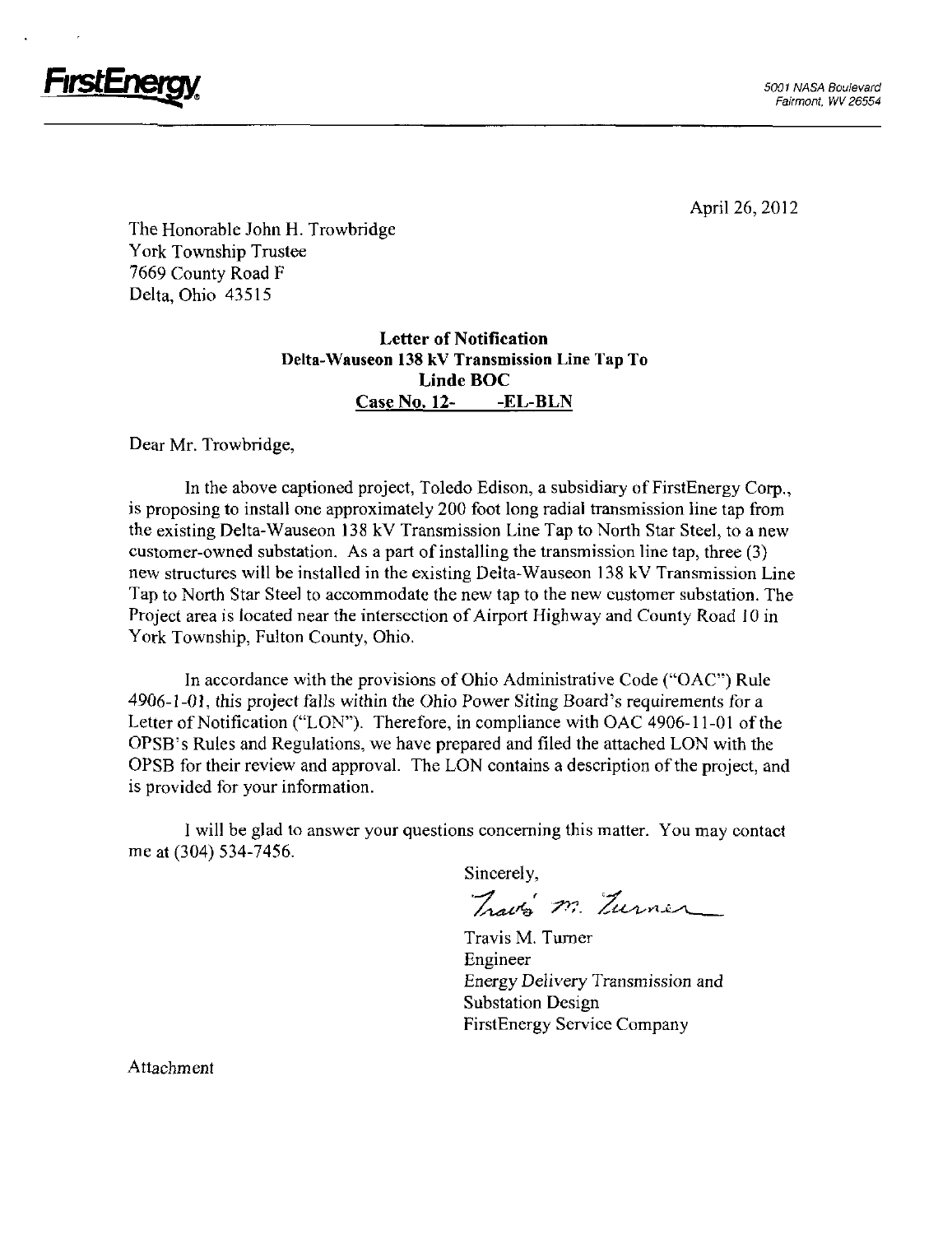

The Honorable John H. Trowbridge York Township Trustee 7669 County Road F Delta, Ohio 43515

### Letter of Notification Delta-Wauseon 138 kV Transmission Line Tap To Linde BOC Case No. 12- -EL-BLN

Dear Mr. Trowbridge,

In the above captioned project, Toledo Edison, a subsidiary of FirstEnergy Corp., is proposing to install one approximately 200 foot long radial transmission line tap from the existing Delta-Wauseon 138 kV Transmission Line Tap to North Star Steel, to a new customer-owned substation. As a part of installing the transmission line tap, three (3) new stmctures will be installed in the existing Delta-Wauseon 138 kV Transmission Line Tap to North Star Steel to accommodate the new tap to the new customer substation. The Project area is located near the intersection of Airport Highway and County Road 10 in York Township, Fulton County, Ohio.

In accordance with the provisions of Ohio Administrative Code ("OAC") Rule 4906-1-01, this project falls within the Ohio Power Siting Board's requirements for a Letter of Notification ("LON"). Therefore, in compliance with OAC 4906-11-01 of the OPSB's Rules and Regulations, we have prepared and filed the attached LON with the OPSB for their review and approval. The LON contains a description of the project, and is provided for your information.

1 will be glad to answer your questions conceming this matter. You may contact me at (304) 534-7456.

Sincerely,

Trava m. Turner

Travis M. Turner Engineer Energy Delivery Transmission and Substation Design FirstEnergy Service Company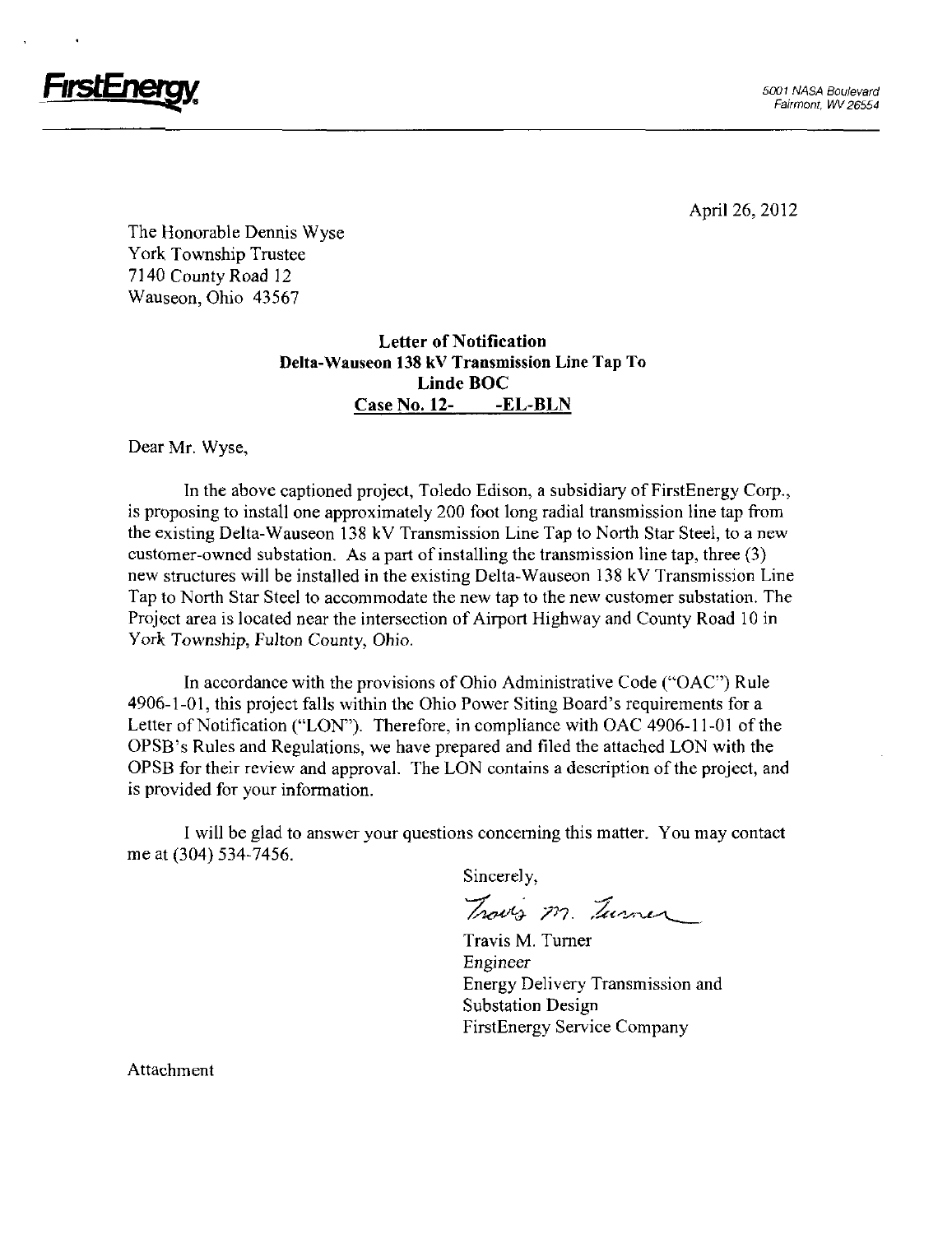

FirstEnerav and the contract of the contract of the contract of the contract of the contract of the contract of the contract of the contract of the contract of the contract of the contract of the contract of the contract o

April 26, 2012

The Honorable Dennis Wyse York Township Trustee 7140 County Road 12 Wauseon, Ohio 43567

### Letter of Notification Delta-Wauseon 138 kV Transmission Line Tap To Linde BOC Case No. 12- -EL-BLN

Dear Mr. Wyse,

In the above captioned project, Toledo Edison, a subsidiary of FirstEnergy Corp., is proposing to install one approximately 200 foot long radial transmission line tap from the existing Delta-Wauseon 138 kV Transmission Line Tap to North Star Steel, to a new customer-owned substation. As a part of installing the transmission line tap, three (3) new structures will be installed in the existing Delta-Wauseon 138 kV Transmission Line Tap to North Star Steel to accommodate the new tap to the new customer substation. The Project area is located near the intersection of Airport Highway and County Road 10 in York Township, Fulton County, Ohio.

In accordance with the provisions of Ohio Administrative Code ("OAC") Rule 4906-1-01, this project falls within the Ohio Power Siting Board's requirements for a Letter of Notification ("LON"). Therefore, in compliance with OAC 4906-11-01 of the OPSB's Rules and Regulations, we have prepared and filed the attached LON with the OPSB for their review and approval. The LON contains a description of the project, and is provided for your information.

I will be glad to answer your questions conceming this matter. You may contact me at (304) 534-7456.

Sincerely,

Traves M. Turner

Travis M. Tumer Engineer Energy Delivery Transmission and Substation Design FirstEnergy Service Company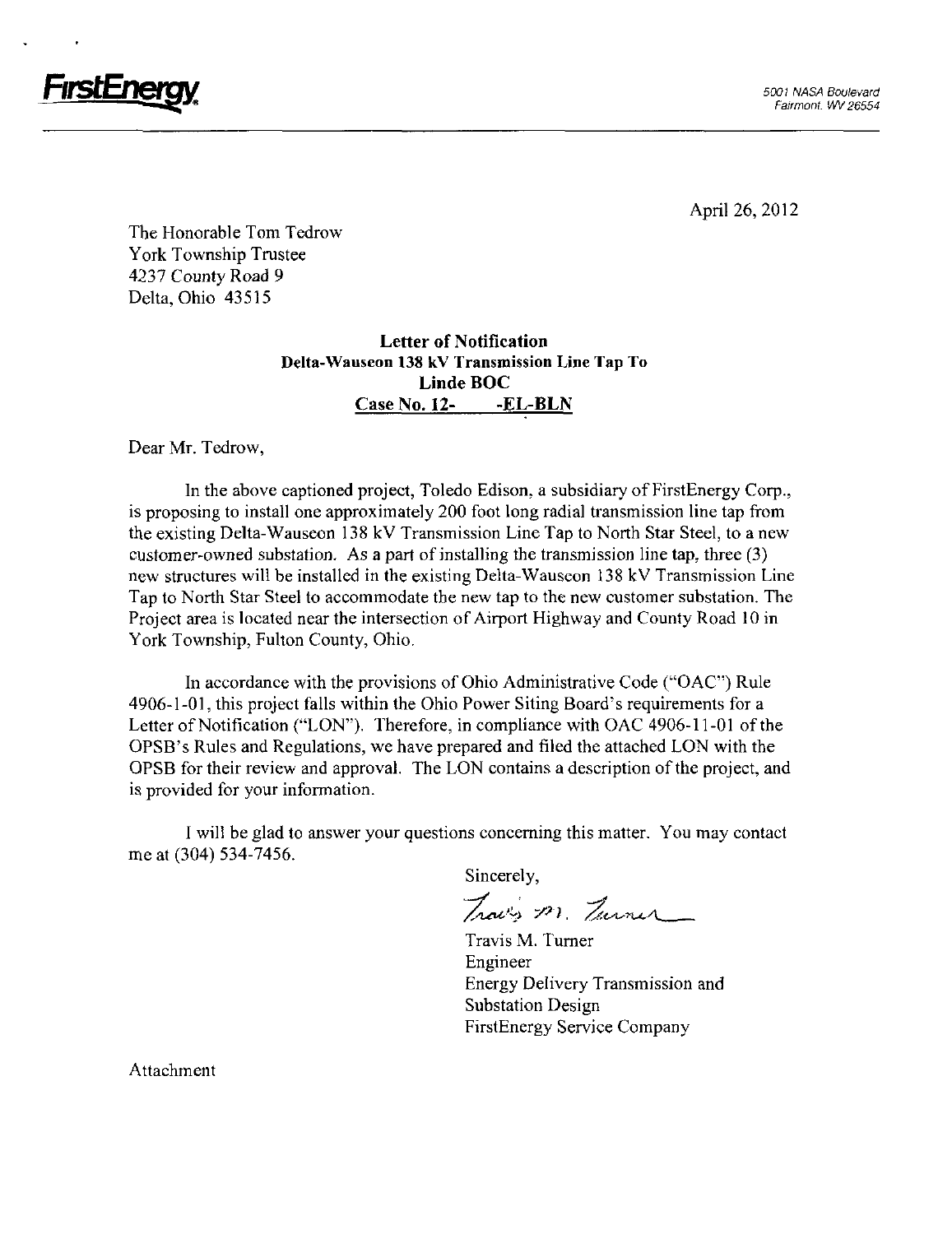

The Honorable Tom Tedrow York Township Tmstee 4237 County Road 9 Delta, Ohio 43515

### Letter of Notification Delta-Wauseon 138 kV Transmission Line Tap To Linde BOC Case No. 12- -EL-BLN

Dear Mr. Tedrow,

In the above captioned project, Toledo Edison, a subsidiary of FirstEnergy Corp., is proposing to install one approximately 200 foot long radial transmission line tap from the existing Delta-Wauseon 138 kV Transmission Line Tap to North Star Steel, to a new customer-owned substation. As a part of installing the transmission line tap, three (3) new stmctures will be installed in the existing Delta-Wauseon 138 kV Transmission Line Tap to North Star Steel to accommodate the new tap to the new customer substation. The Project area is located near the intersection of Airport Highway and County Road 10 in York Township, Fulton County, Ohio.

In accordance with the provisions of Ohio Administrative Code ("OAC") Rule 4906-1-01, this project falls within the Ohio Power Siting Board's requirements for a Letter of Notification ("LON"). Therefore, in compliance with OAC 4906-11-01 of the OPSB's Rules and Regulations, we have prepared and filed the attached LON with the OPSB for their review and approval. The LON contains a description of the project, and is provided for your information.

I will be glad to answer your questions conceming this matter. You may contact me at (304) 534-7456.

Sincerely,<br>Traves 201 Turner

Travis M. Tumer Engineer Energy Delivery Transmission and Substation Design FirstEnergy Service Company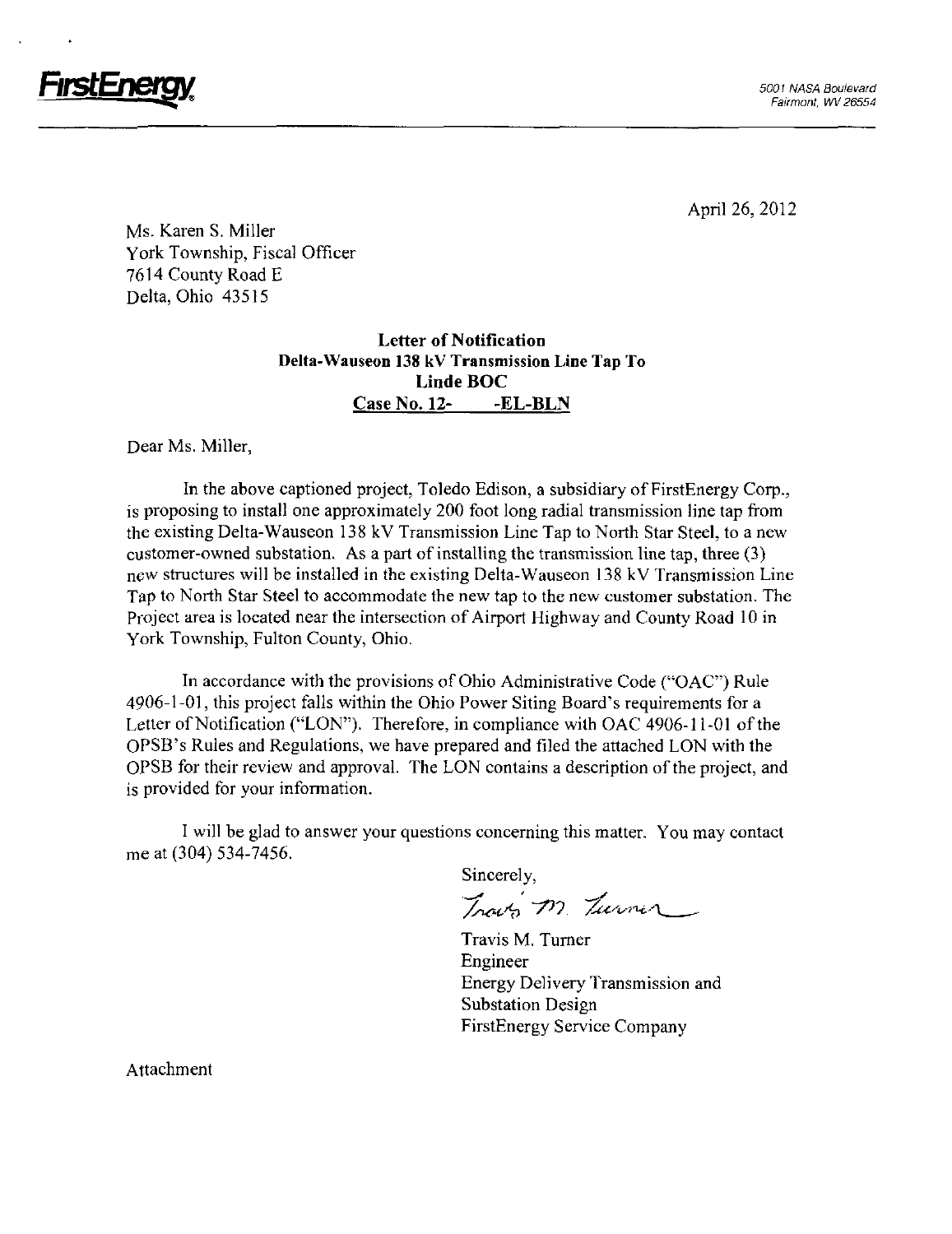

FirstEnergy.

April 26, 2012

Ms. Karen S. Miller York Township, Fiscal Officer 7614 County Road E Delta, Ohio 43515

### Letter of Notification Delta-Wauseon 138 kV Transmission Line Tap To Linde BOC CaseNo. 12- -EL-BLN

Dear Ms. Miller,

In the above captioned project, Toledo Edison, a subsidiary of FirstEnergy Corp., is proposing to install one approximately 200 foot long radial transmission line tap from the existing Delta-Wauseon 138 kV Transmission Line Tap to North Star Steel, to a new customer-owned substation. As a part of installing the transmission line tap, three (3) new structures will be installed in the existing Delta-Wauseon 138 kV Transmission Line Tap to North Star Steel to accommodate the new tap to the new customer substation. The Project area is located near the intersection of Airport Highway and County Road 10 in York Township, Fulton County, Ohio.

In accordance with the provisions of Ohio Administrative Code ("OAC") Rule 4906-1-01, this project falls within the Ohio Power Shing Board's requirements for a Letter of Notification ("LON"). Therefore, in compliance with OAC 4906-11-01 of the OPSB's Rules and Regulations, we have prepared and filed the attached LON with the OPSB for their review and approval. The LON contains a description of the project, and is provided for your information.

I will be glad to answer your questions concerning this matter. You may contact me at (304) 534-7456.

Sincerely,

Traves M. Turner

Travis M, Tumer Engineer Energy Delivery Transmission and Substation Design FirstEnergy Service Company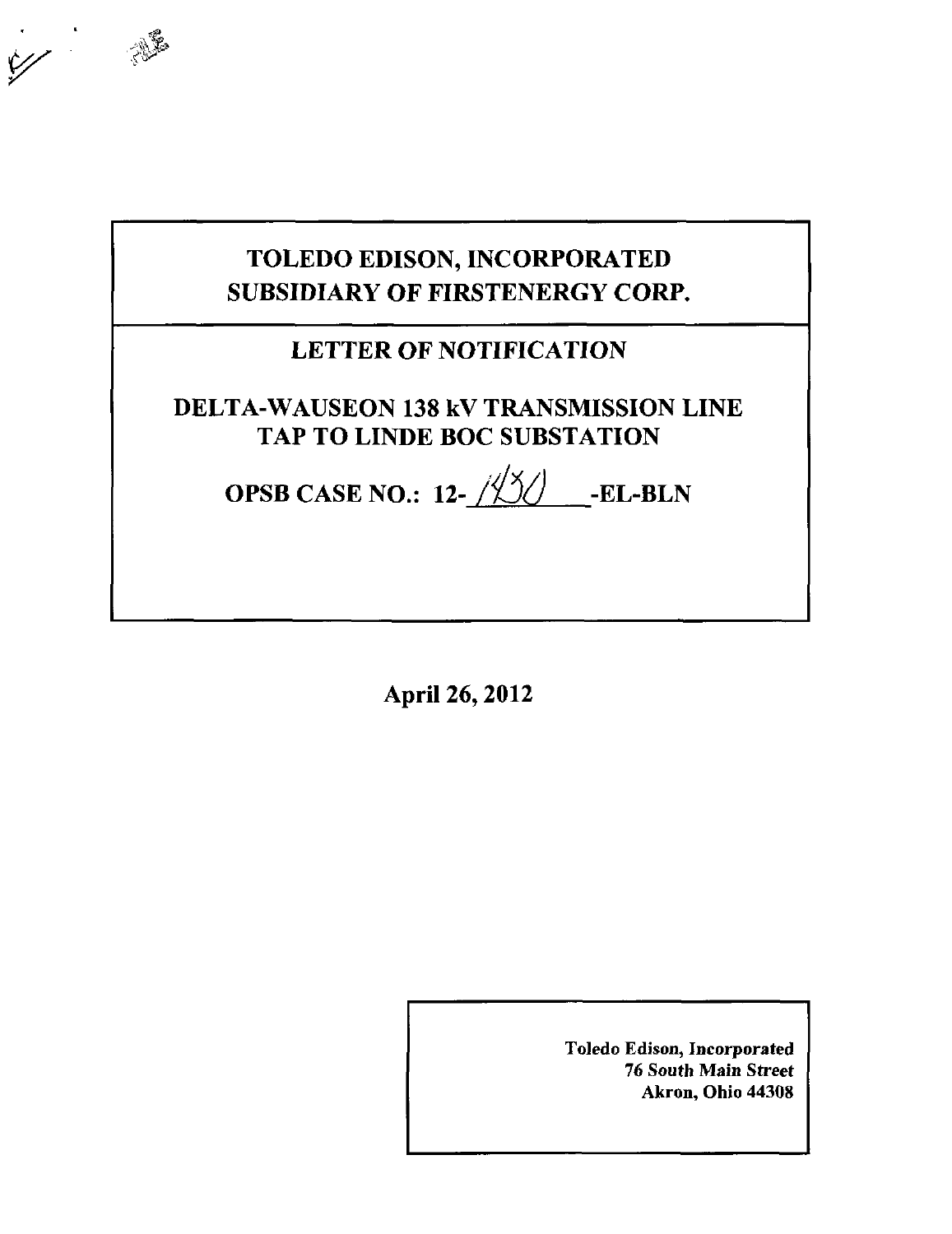# TOLEDO EDISON, INCORPORATED SUBSIDIARY OF FIRSTENERGY CORP.

## LETTER OF NOTIFICATION

DELTA-WAUSEON 138 kV TRANSMISSION LINE TAP TO LINDE BOC SUBSTATION

OPSB CASE NO.:  $12-\frac{12}{2}$  -EL-BLN

April 26,2012

Toledo Edison, Incorporated 76 South Main Street Akron, Ohio 44308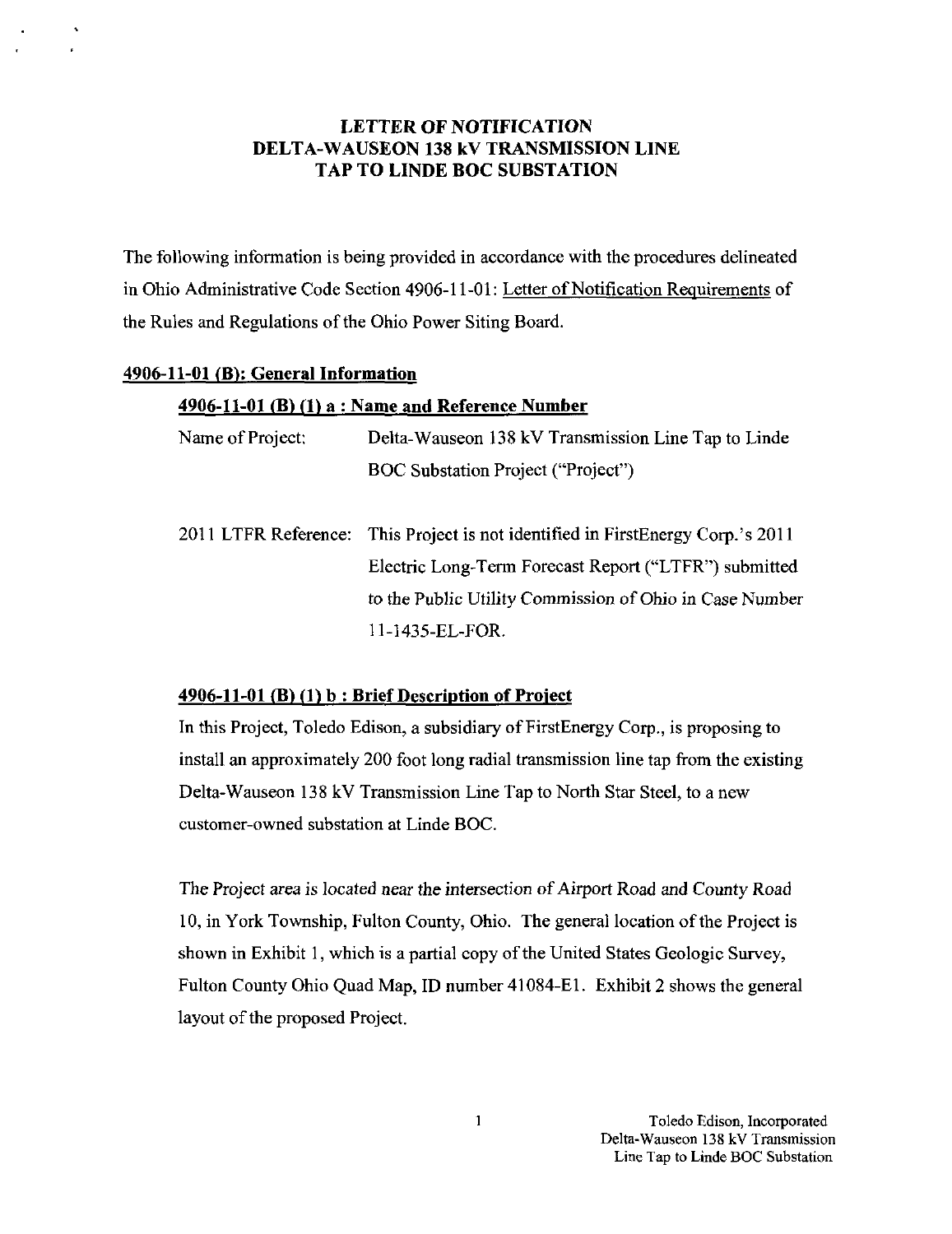### LETTER OF NOTIFICATION DELTA-WAUSEON 138 kV TRANSMISSION LINE TAP TO LINDE BOC SUBSTATION

The following information is being provided in accordance with the procedures delineated in Ohio Administrative Code Section 4906-11-01: Letter of Notification Requirements of the Rules and Regulations of the Ohio Power Siting Board.

#### 4906-11-01 (B>: General Information

#### $4906-11-01$  (B) (1) a : Name and Reference Number

| Name of Project: | Delta-Wauseon 138 kV Transmission Line Tap to Linde                             |
|------------------|---------------------------------------------------------------------------------|
|                  | <b>BOC Substation Project ("Project")</b>                                       |
|                  | 2011 LTFR Reference: This Project is not identified in FirstEnergy Corp.'s 2011 |
|                  | Electric Long-Term Forecast Report ("LTFR") submitted                           |

to the Public Utility Commission of Ohio in Case Number

n-1435-EL-FOR.

#### $4906-11-01$  (B) (1) b : Brief Description of Project

In this Project, Toledo Edison, a subsidiary of FirstEnergy Corp., is proposing to install an approximately 200 foot long radial transmission line tap from the existing Delta-Wauseon 138 kV Transmission Line Tap to North Star Steel, to a new customer-owned substation at Linde BOC.

The Project area is located near the intersection of Airport Road and County Road 10, in York Township, Fulton County, Ohio. The general location ofthe Project is shown in Exhibit 1, which is a partial copy of the United States Geologic Survey, Fulton County Ohio Quad Map, ID number 41084-EI. Exhibit 2 shows the general layout of the proposed Project.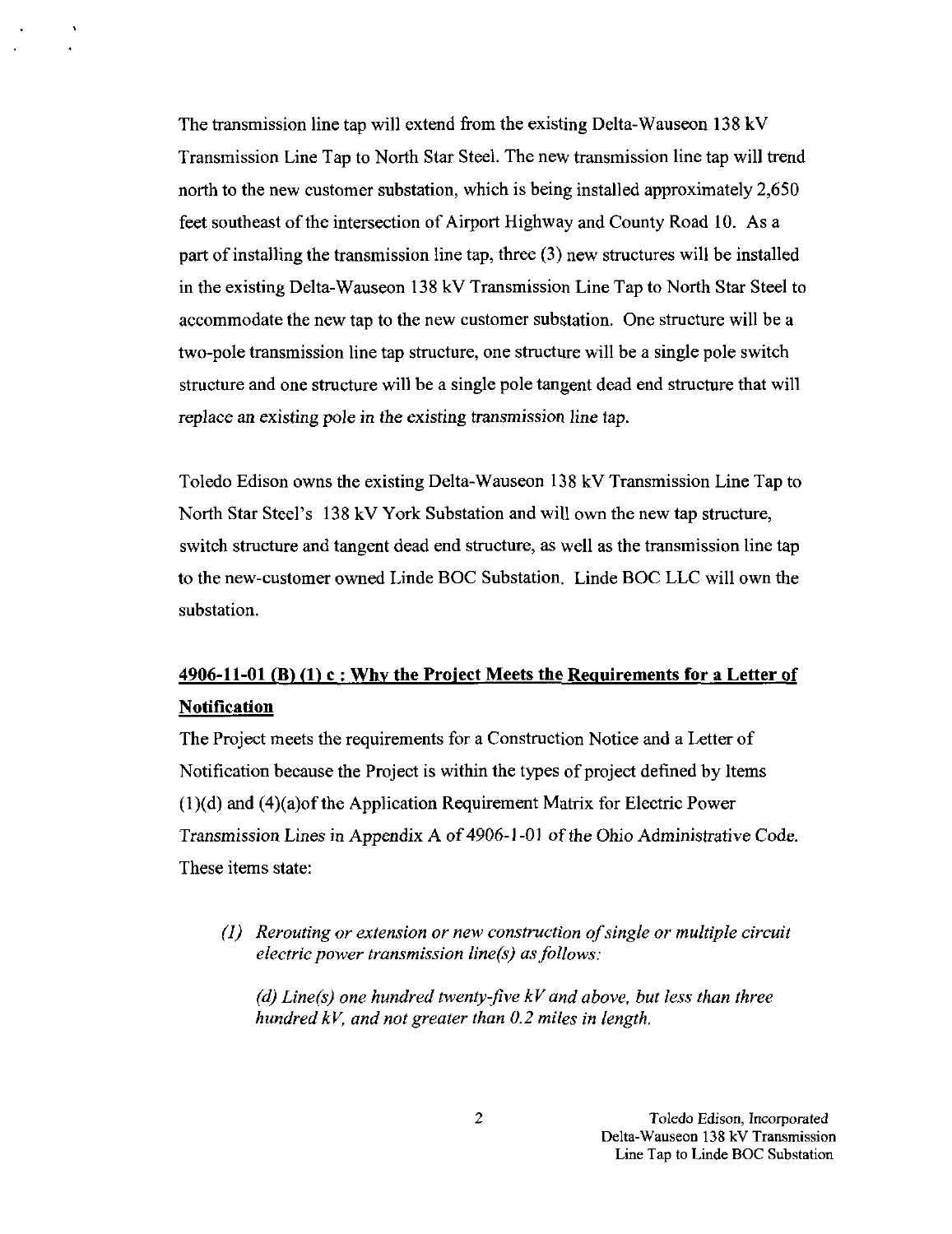The transmission line tap will extend from the existing Delta-Wauseon 138 kV Transmission Line Tap to North Star Steel. The new transmission line tap will trend north to the new customer substation, which is being installed approximately 2,650 feet southeast of the intersection of Airport Highway and County Road 10. As a part of installing the transmission line tap, three (3) new stmctures will be installed in the existing Delta-Wauseon 138 kV Transmission Line Tap to North Star Steel to accommodate the new tap to the new customer substation. One structure will be a two-pole transmission line tap structure, one structure will be a single pole switch structure and one structure will be a single pole tangent dead end structure that will replace an existing pole in the existing transmission line tap.

Toledo Edison owns the existing Delta-Wauseon 138 kV Transmission Line Tap to North Star Steel's 138 kV York Substation and will own the new tap stmcture, switch structure and tangent dead end structure, as well as the transmission line tap to the new-customer owned Linde BOC Substation. Linde BOC LLC will own the substation.

## $4906-11-01$  (B) (1) c : Why the Project Meets the Requirements for a Letter of Notification

The Project meets the requirements for a Construction Notice and a Letter of Notification because the Project is within the types of project defined by Items (I)(d) and (4)(a)of the Application Requirement Matrix for Electric Power Transmission Lines in Appendix A of 4906-1-01 ofthe Ohio Administrative Code. These items state:

(1) Rerouting or extension or new construction of single or multiple circuit electric power transmission line(s) as follows:

(d) Line(s) one hundred twenty-five  $kV$  and above, but less than three hundred kV, and not greater than 0.2 miles in length.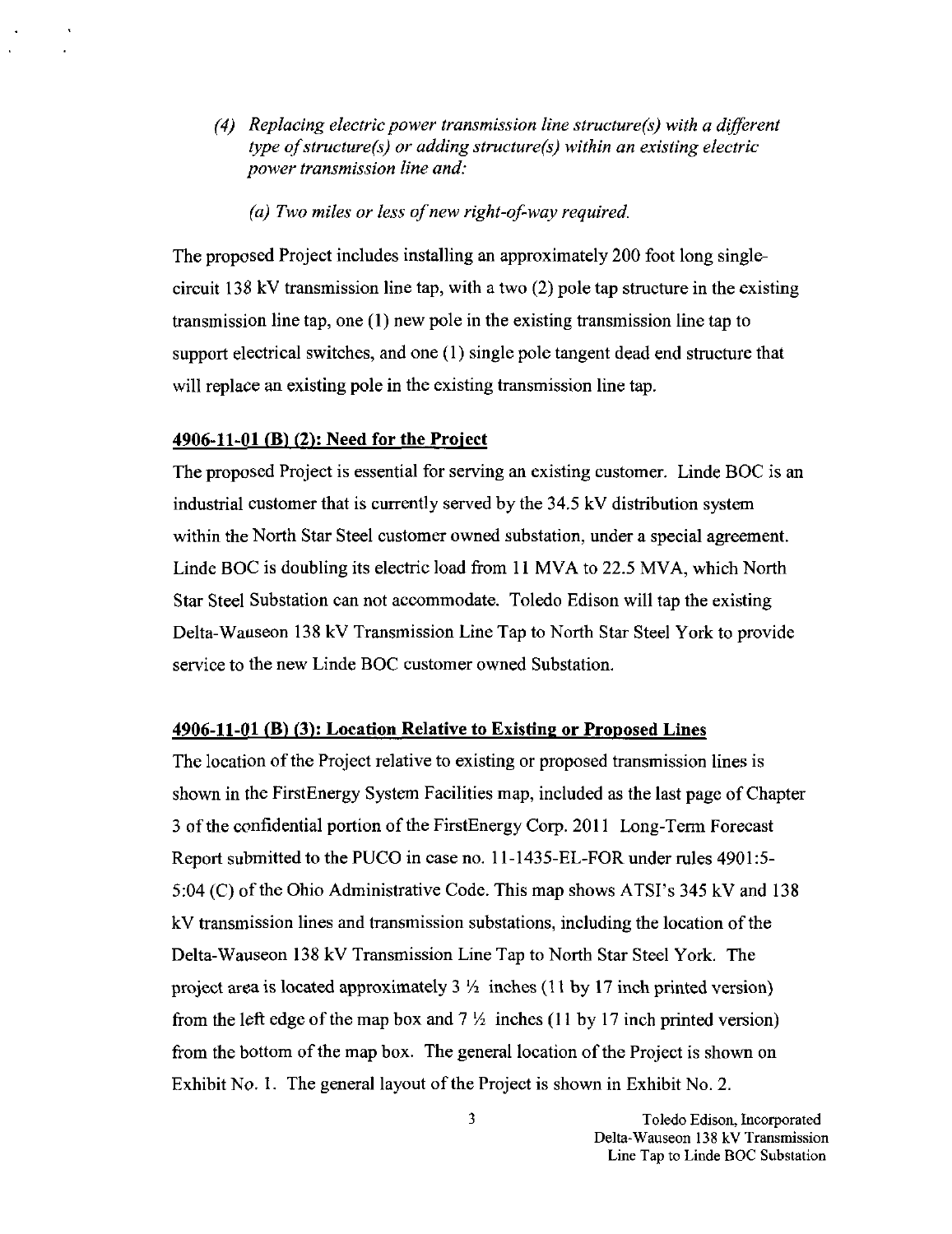- (4) Replacing electric power transmission line structure(s) with a different type of structure(s) or adding structure(s) within an existing electric power transmission line and:
	- (a) Two miles or less of new right-of-way required.

The proposed Project includes installing an approximately 200 foot long singlecircuit 138 kV transmission line tap, with a two  $(2)$  pole tap structure in the existing transmission fine tap, one (I) new pole in the existing fransmission line tap to support electrical switches, and one (1) single pole tangent dead end structure that will replace an existing pole in the existing transmission line tap.

#### 4906-11-01 (B)  $(2)$ : Need for the Project

The proposed Project is essential for serving an existing customer. Linde BOC is an industrial customer that is currently served by the 34.5 kV distribution system within the North Star Steel customer owned substation, under a special agreement. Linde BOC is doubling its electric load from 11 MVA to 22.5 MVA, which North Star Steel Substation can not accommodate. Toledo Edison will tap the existing Delta-Wauseon 138 kV Transmission Line Tap to North Star Steel York to provide service to the new Linde BOC customer owned Substation.

#### $4906-11-01$  (B) (3): Location Relative to Existing or Proposed Lines

The location of the Project relative to existing or proposed transmission lines is shown in the FirstEnergy System Facilities map, included as the last page of Chapter 3 of the confidential portion of the FirstEnergy Corp. 2011 Long-Term Forecast Report submitted to the PUCO in case no. 11-1435-EL-FOR under mles 4901:5- 5:04 (C) of the Ohio Administrative Code. This map shows ATSI's  $345 \text{ kV}$  and  $138$ kV transmission lines and transmission substations, including the location ofthe Delta-Wauseon 138 kV Transmission Line Tap to North Star Steel York. The project area is located approximately  $3\frac{1}{2}$  inches (11 by 17 inch printed version) from the left edge of the map box and  $7\frac{1}{2}$  inches (11 by 17 inch printed version) from the bottom of the map box. The general location of the Project is shown on Exhibit No. 1. The general layout of the Project is shown in Exhibit No. 2.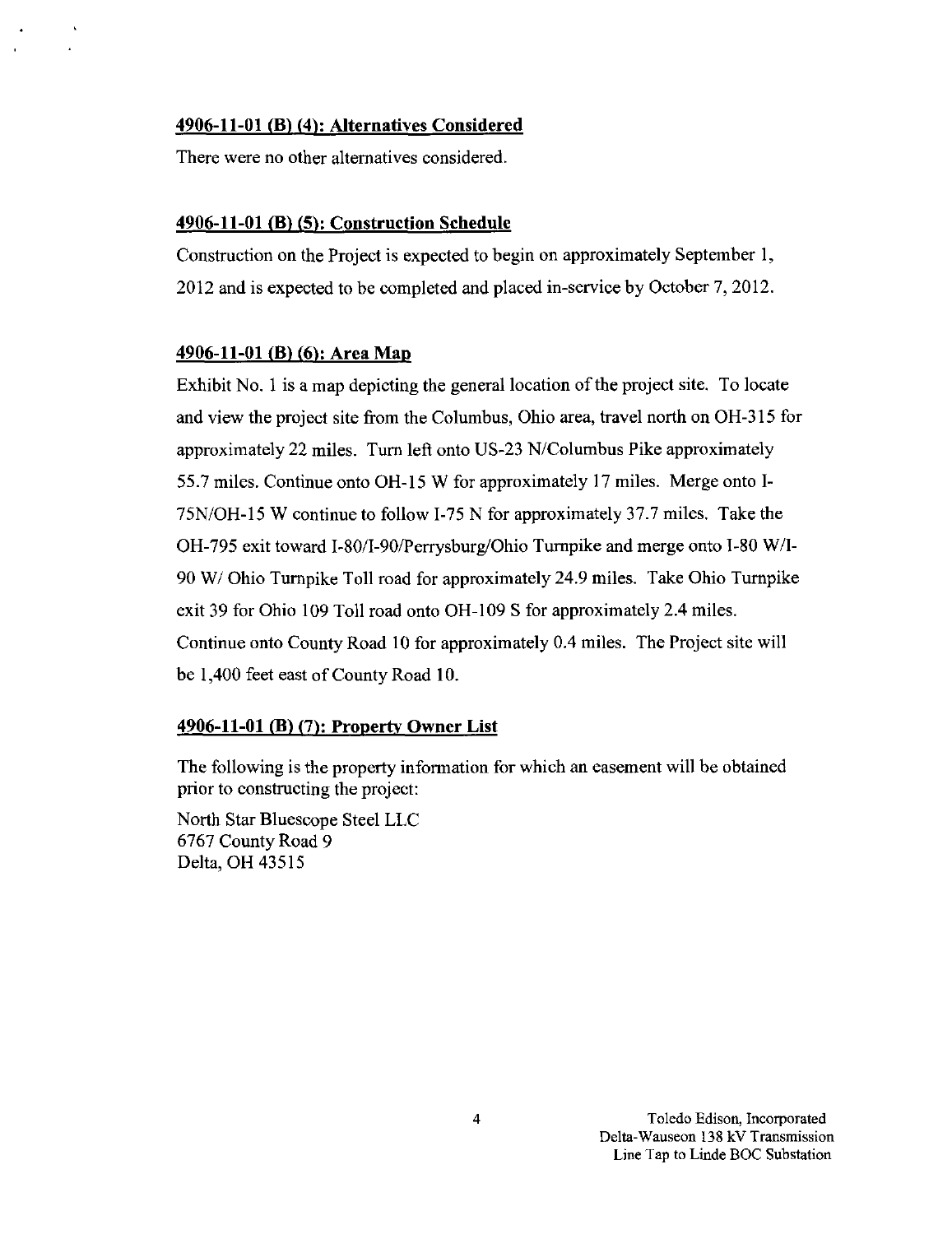### 4906-11-01 (B) (4^: Alternatives Considered

There were no other alternatives considered.

#### 4906-11-01 (B) (5): Construction Schedule

Construction on the Project is expected to begin on approximately September 1, 2012 and is expected to be completed and placed in-service by October 7, 2012.

#### 4906-11-01 (B) (6): Area Map

Exhibit No. 1 is a map depicting the general location of the project site. To locate and view the project site from the Columbus, Ohio area, travel north on OH-315 for approximately 22 miles. Tum left onto US-23 N/Columbus Pike approximately 55.7 miles. Continue onto OH-15 W for approximately 17 miles. Merge onto I-75N/OH-15 W continue to follow 1-75 N for approximately 37.7 miles. Take the OH-795 exit toward I-80/I-90/Perrysburg/Ohio Tumpike and merge onto 1-80 W/I-90 W/ Ohio Tiunpike Toll road for approximately 24.9 miles. Take Ohio Tumpike exit 39 for Ohio 109 Toll road onto OH-109 S for approximately 2.4 miles. Continue onto County Road 10 for approximately 0.4 miles. The Project site will be 1,400 feet east of County Road 10.

#### 4906-11-01 (B) (7): Property Owner List

The following is the property information for which an easement will be obtained prior to constmcting the project:

North Star Bluescope Steel LLC 6767 County Road 9 Delta, OH 43515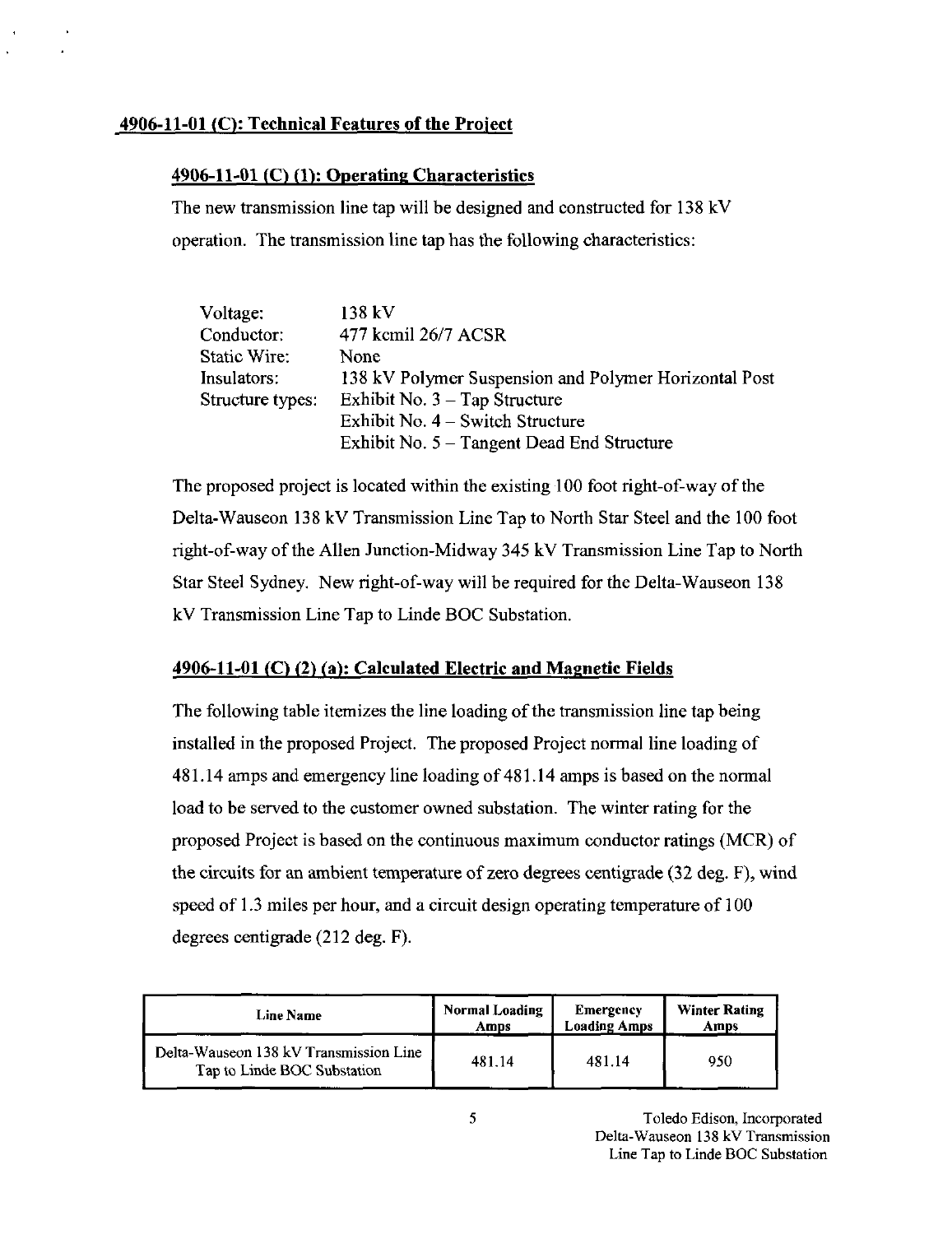### $4906-11-01$  (C): Technical Features of the Project

### 4906-11-01 (C) (1): Operating Characteristics

The new transmission line tap will be designed and constructed for 138 kV operation. The transmission line tap has the following characteristics:

| Voltage:         | 138 kV                                                |
|------------------|-------------------------------------------------------|
| Conductor:       | 477 kcmil 26/7 ACSR                                   |
| Static Wire:     | None                                                  |
| Insulators:      | 138 kV Polymer Suspension and Polymer Horizontal Post |
| Structure types: | Exhibit No. $3 - Tap$ Structure                       |
|                  | Exhibit No. 4 – Switch Structure                      |
|                  | Exhibit No. $5 - Tangent$ Dead End Structure          |

The proposed project is located within the existing 100 foot right-of-way of the Delta-Wauseon 138 kV Transmission Line Tap to North Star Steel and the 100 foot right-of-way ofthe Allen Junction-Midway 345 kV Transmission Line Tap to North Star Steel Sydney. New right-of-way will be required for the Delta-Wauseon 138 kV Transmission Line Tap to Linde BOC Substation.

### 4906-11-01 (C) (2) (a): Calculated Electric and Magnetic Fields

The following table itemizes the line loading of the transmission line tap being installed in the proposed Project. The proposed Project normal tine loading of 481.14 amps and emergency line loading of 481.14 amps is based on the normal load to be served to the customer owned substation. The winter rating for the proposed Project is based on the continuous maximum conductor ratings (MCR) of the circuits for an ambient temperature of zero degrees centigrade (32 deg. F), wind speed of 1.3 miles per hour, and a circuit design operating temperature of 100 degrees centigrade (212 deg. F).

| Line Name                                                             | <b>Normal Loading</b> | Emergency           | <b>Winter Rating</b> |
|-----------------------------------------------------------------------|-----------------------|---------------------|----------------------|
|                                                                       | Amps                  | <b>Loading Amps</b> | Amps                 |
| Delta-Wauseon 138 kV Transmission Line<br>Tap to Linde BOC Substation | 481 14                | 481.14              | 950                  |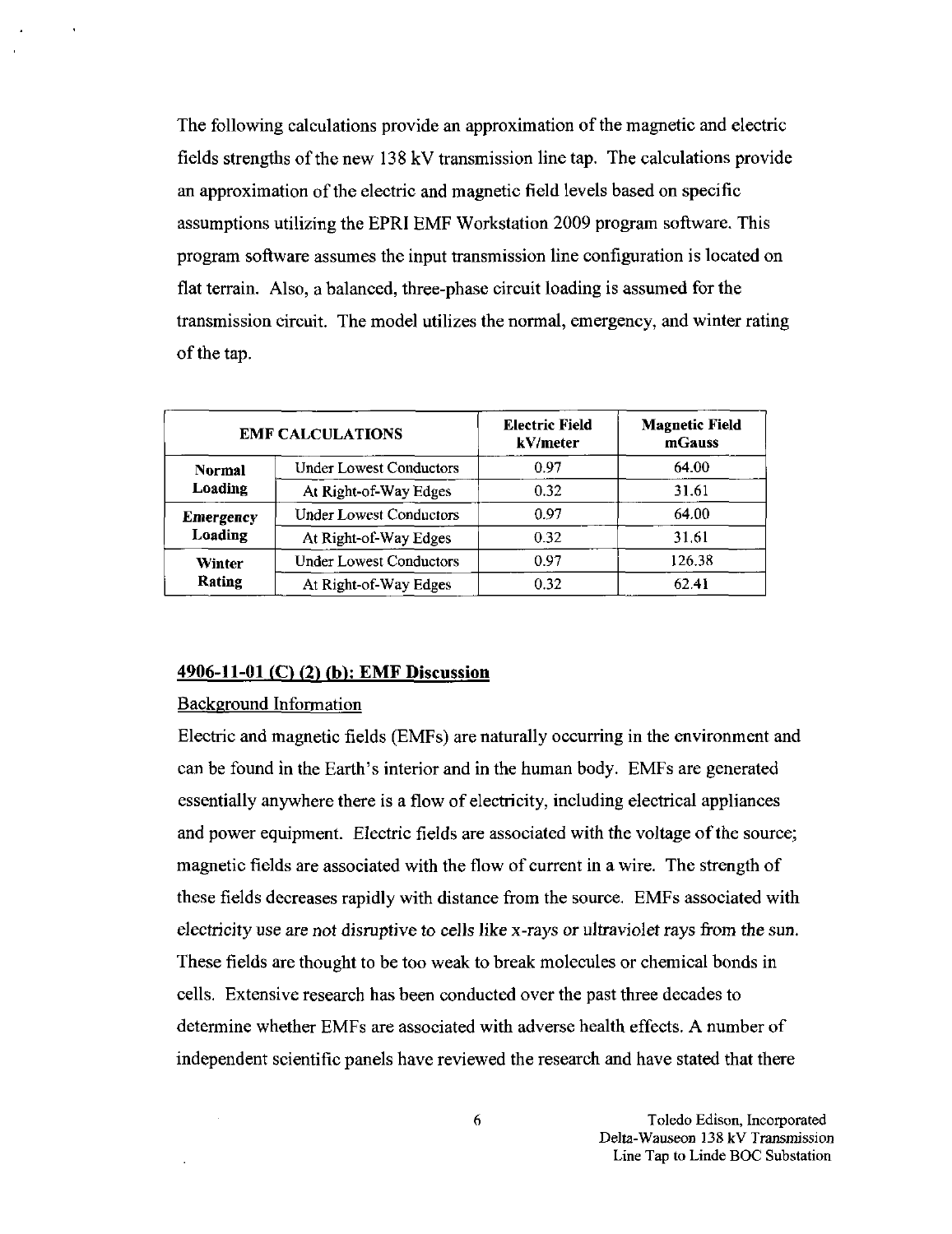The following calculations provide an approximation of the magnetic and electric fields strengths of the new 138 kV transmission line tap. The calculations provide an approximation of the electric and magnetic field levels based on specific assumptions utilizing the EPRI EMF Workstation 2009 program software. This program software assumes the input transmission line configuration is located on flat terrain. Also, a balanced, three-phase circuit loading is assumed for the transmission circuit. The model utilizes the normal, emergency, and winter rating of the tap.

| <b>EMF CALCULATIONS</b>     |                                | <b>Electric Field</b><br>kV/meter | <b>Magnetic Field</b><br>mGauss |
|-----------------------------|--------------------------------|-----------------------------------|---------------------------------|
| Normal                      | <b>Under Lowest Conductors</b> | 0.97                              | 64.00                           |
| Loading                     | At Right-of-Way Edges          | 0.32                              | 31.61                           |
| <b>Emergency</b><br>Loading | <b>Under Lowest Conductors</b> | 0.97                              | 64.00                           |
|                             | At Right-of-Way Edges          | 0.32                              | 31.61                           |
| Winter<br>Rating            | <b>Under Lowest Conductors</b> | 0.97                              | 126.38                          |
|                             | At Right-of-Way Edges          | 0.32                              | 62.41                           |

#### $4906-11-01$  (C) (2) (b): EMF Discussion

#### Background Information

 $\bar{z}$ 

Electric and magnetic fields (EMFs) are naturally occurring in the environment and can be found in the Earth's interior and in the human body. EMFs are generated essentially anywhere there is a flow of electricity, including electrical appliances and power equipment. Electric fields are associated with the voltage of the source; magnetic fields are associated with the flow of current in a wire. The strength of these fields decreases rapidly with distance from the source, EMFs associated with electricity use are not dismptive to cells like x-rays or ultraviolet rays from the sun. These fields are thought to be too weak to break molecules or chemical bonds in cells. Extensive research has been conducted over the past three decades to determine whether EMFs are associated with adverse health effects. A number of independent scientific panels have reviewed the research and have stated that there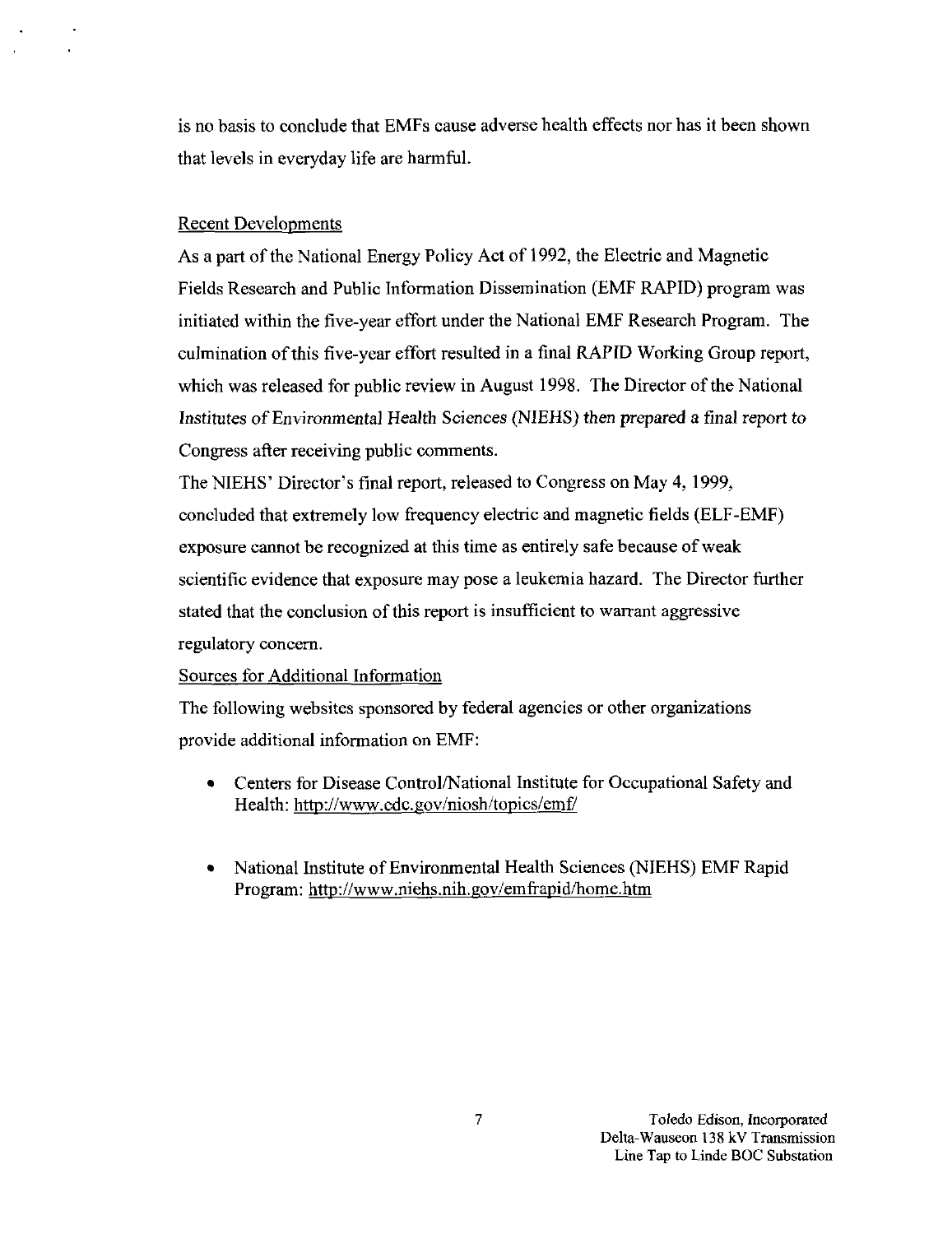is no basis to conclude that EMFs cause adverse health effects nor has it been shown that levels in everyday life are harmful.

#### Recent Developments

As a part of the National Energy Policy Act of 1992, the Electric and Magnetic Fields Research and Public Information Dissemination (EMF RAPID) program was initiated within the five-year effort under the National EMF Research Program. The culmination of this five-year effort resulted in a final RAPID Working Group report, which was released for public review in August 1998. The Director of the National Institutes of Environmental Health Sciences (NIEHS) then prepared a final report to Congress after receiving public comments.

The NIEHS' Director's final report, released to Congress on May 4, 1999, concluded that extremely low frequency electric and magnetic fields (ELF-EMF) exposure cannot be recognized at this time as entirely safe because of weak scientific evidence that exposure may pose a leukemia hazard. The Director further stated that the conclusion of this report is insufficient to warrant aggressive regulatory concern.

#### Sources for Additional Information

The following websites sponsored by federal agencies or other organizations provide additional information on EMF:

- Centers for Disease Control/National Institute for Occupational Safety and Health: <http://www.cdc.gov/niosh/topics/emf/>
- National Institute of Environmental Health Sciences (NIEHS) EMF Rapid Program: http://www.niehs.nih.gov/emfrapid/home.htm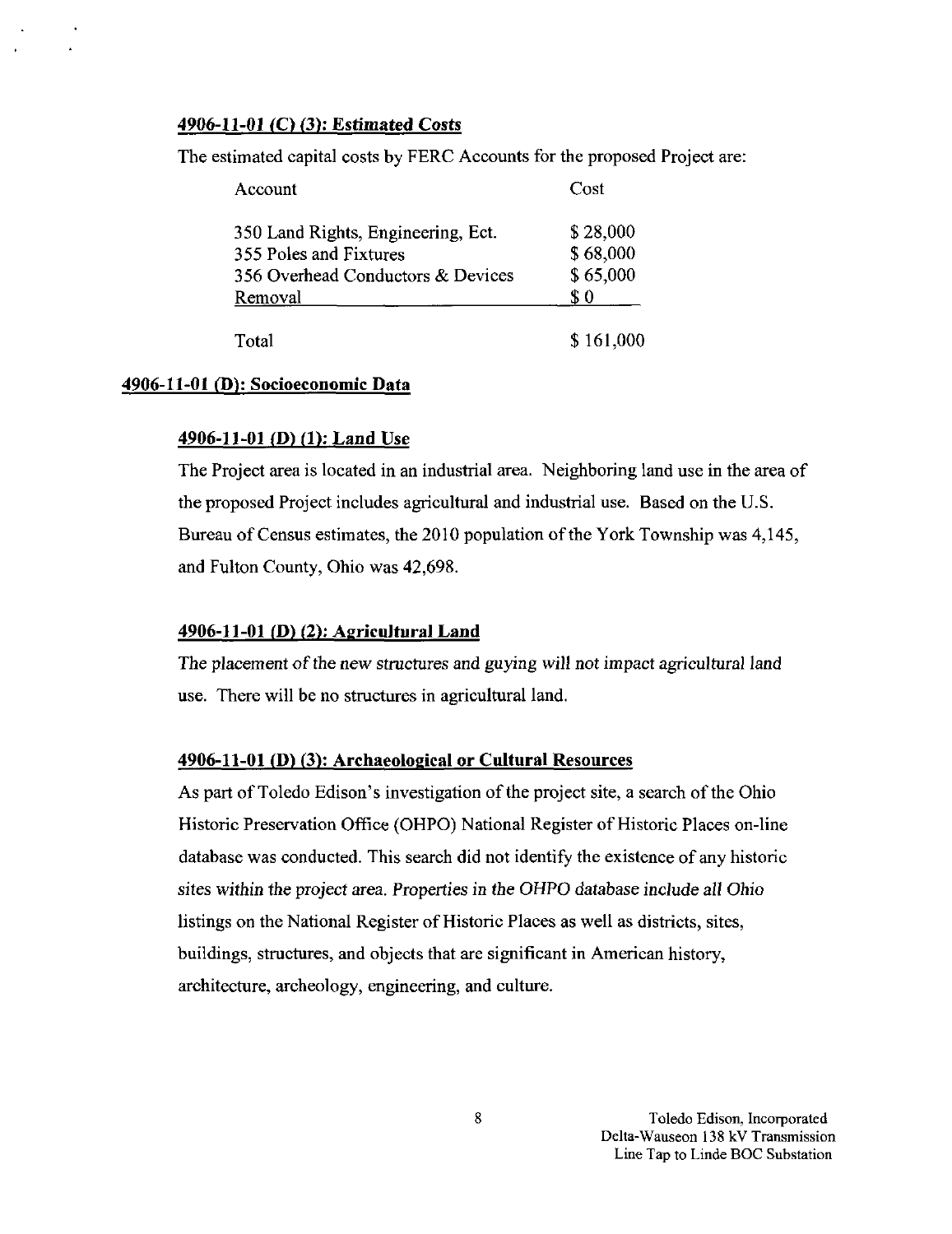#### 4906-11-01 (C) (3): Estimated Costs

The estimated capital costs by FERC Accounts for the proposed Project are:

| Account                            | Cost      |
|------------------------------------|-----------|
| 350 Land Rights, Engineering, Ect. | \$28,000  |
| 355 Poles and Fixtures             | \$68,000  |
| 356 Overhead Conductors & Devices  | \$65,000  |
| Removal                            | \$0       |
| Total                              | \$161,000 |

#### 4906-11-01 (D): Socioeconomic Data

#### 4906-11-01 (D) (1): Land Use

The Project area is located in an industrial area. Neighboring land use in the area of the proposed Project includes agricultural and industrial use. Based on the U.S. Bureau of Census estimates, the 2010 population of the York Township was 4,145, and Fulton County, Ohio was 42,698.

#### 4906-11-01 (D) (2): Agricultural Land

The placement of the new structures and guying will not impact agricultural land use. There will be no stmctures in agricultural land.

### 4906-11-01 (D) (3): Archaeological or Cultural Resources

As part of Toledo Edison's investigation of the project site, a search of the Ohio Historic Preservation Office (OHPO) National Register of Historic Places on-line database was conducted. This search did not identify the existence of any historic sites within the project area. Properties in the OHPO database include all Ohio listings on the National Register of Historic Places as well as districts, sites, buildings, structures, and objects that are significant in American history, architecture, archeology, engineering, and culture.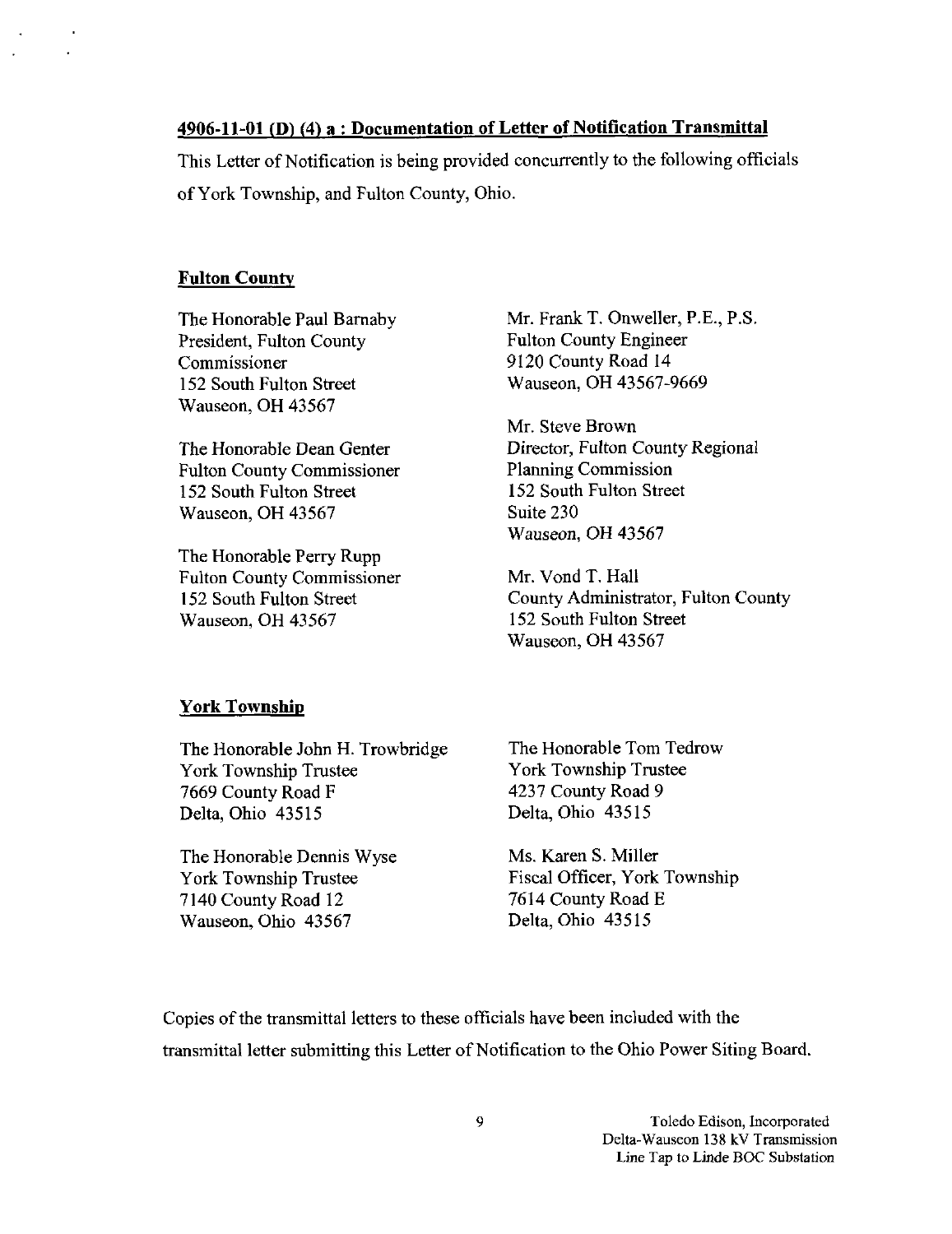### 4906-11-01 (D) (4) a : Documentation of Letter of Notification Transmittal

This Letter of Notification is being provided concurrently to the following officials of York Township, and Fulton County, Ohio.

#### Fulton County

The Honorable Paul Bamaby President, Fulton County Commissioner 152 South Fulton Street Wauseon, OH 43567

The Honorable Dean Genter Fulton County Commissioner 152 South Fulton Street Wauseon, OH 43567

The Honorable Perry Rupp Fulton County Commissioner 152 South Fulton Street Wauseon, OH 43567

Mr. Frank T. Onweller, P.E., P.S. Fulton County Engineer 9120 County Road 14 Wauseon, OH 43567-9669

Mr. Steve Brown Director, Fulton County Regional Planning Commission 152 South Fulton Street Suite 230 Wauseon, OH 43567

Mr. Vond T. Hall County Administrator, Fulton County 152 South Fulton Street Wauseon, OH 43567

#### York Township

The Honorable John H. Trowbridge York Township Trustee 7669 County Road F Delta, Ohio 43515

The Honorable Dennis Wyse York Township Trustee 7140 County Road 12 Wauseon, Ohio 43567

The Honorable Tom Tedrow York Township Trustee 4237 County Road 9 Delta, Ohio 43515

Ms. Karen S. Miller Fiscal Officer, York Township 7614 County Road E Delta, Ohio 43515

Copies of the transmittal letters to these officials have been included with the transmittal letter submitting this Letter of Notification to the Ohio Power Siting Board.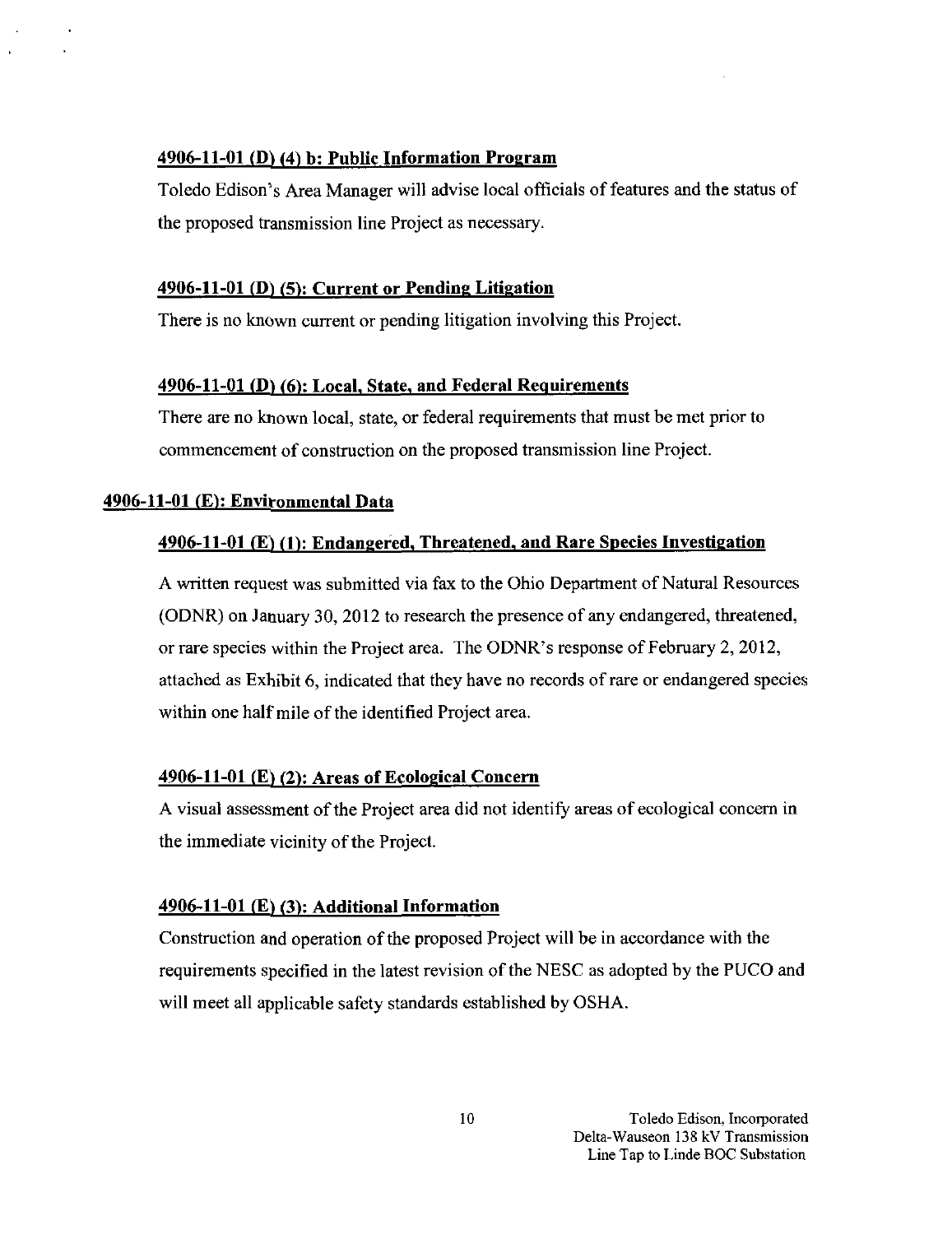### $4906-11-01$  (D) (4) b: Public Information Program

Toledo Edison's Area Manager will advise local officials of features and the status of the proposed transmission line Project as necessary.

### $4906-11-01$  (D) (5): Current or Pending Litigation

There is no known current or pending litigation involving this Project.

### 4906-11-01 (D) (6): Local, State, and Federal Requirements

There are no known local, state, or federal requirements that must be met prior to commencement of construction on the proposed transmission line Project.

### 4906-11-01 (E): Environmental Data

### 4906-11-01 (K) (1): Endangered, Threatened, and Rare Species Investigation

A written request was submitted via fax to the Ohio Department of Natural Resources (ODNR) on January 30, 2012 to research the presence of any endangered, threatened, or rare species within the Project area. The ODNR's response of Febmary 2, 2012, attached as Exhibit 6, indicated that they have no records of rare or endangered species within one half mile of the identified Project area.

### $4906-11-01$  (E) (2): Areas of Ecological Concern

A visual assessment of the Project area did not identify areas of ecological concern in the immediate vicinity of the Project.

### $4906-11-01$  (E) (3): Additional Information

Construction and operation of the proposed Project will be in accordance with the requirements specified in the latest revision ofthe NESC as adopted by the PUCO and will meet all applicable safety standards established by OSHA.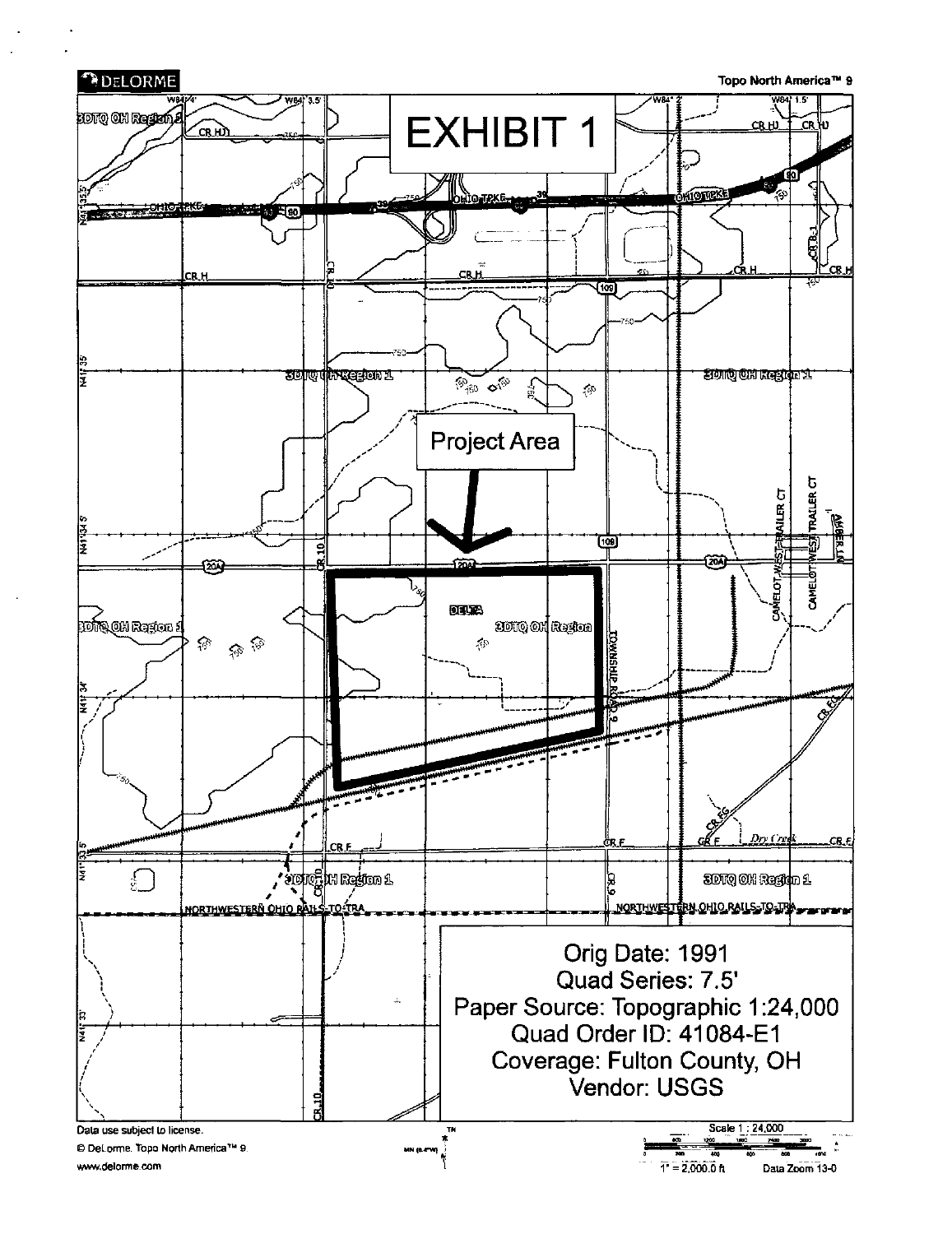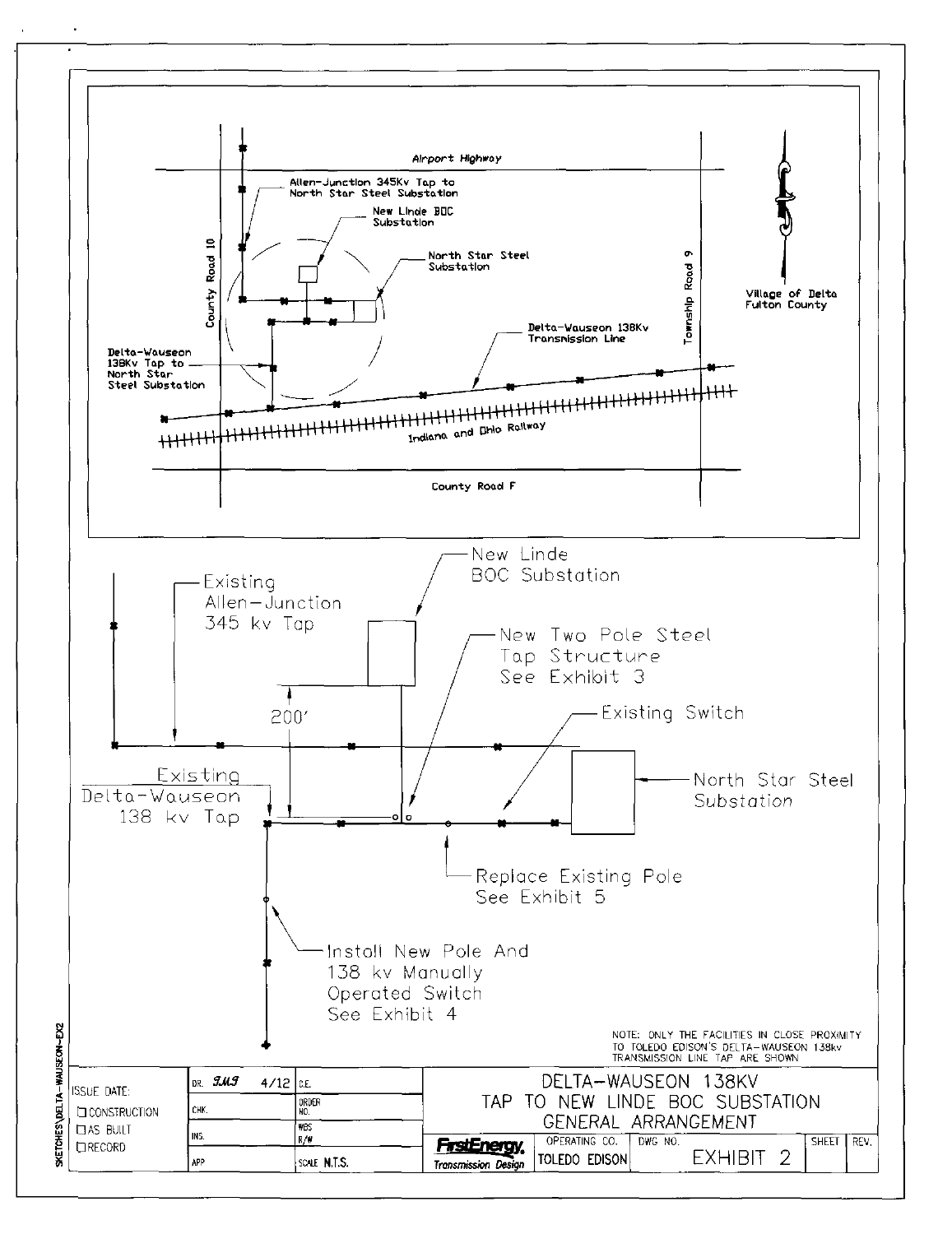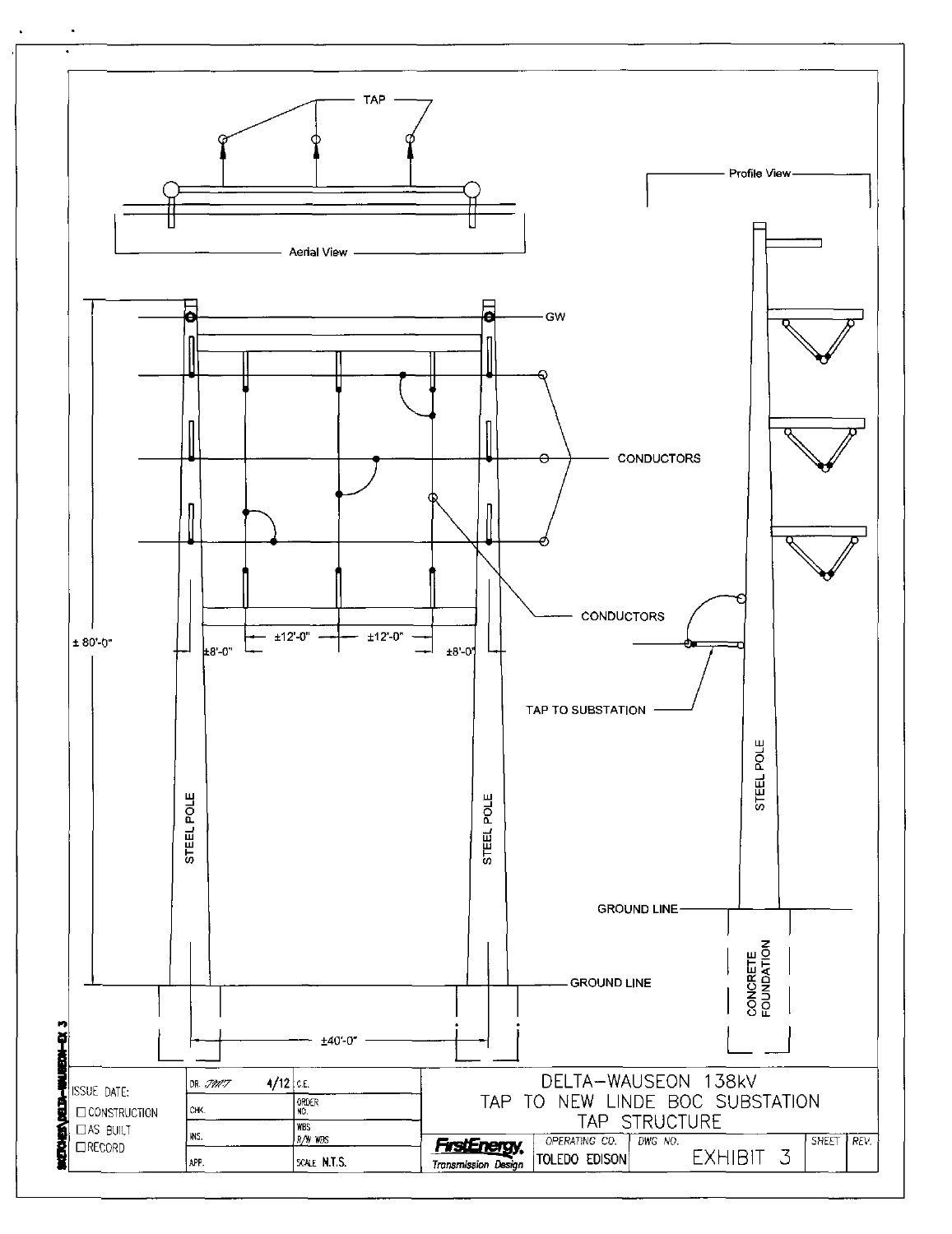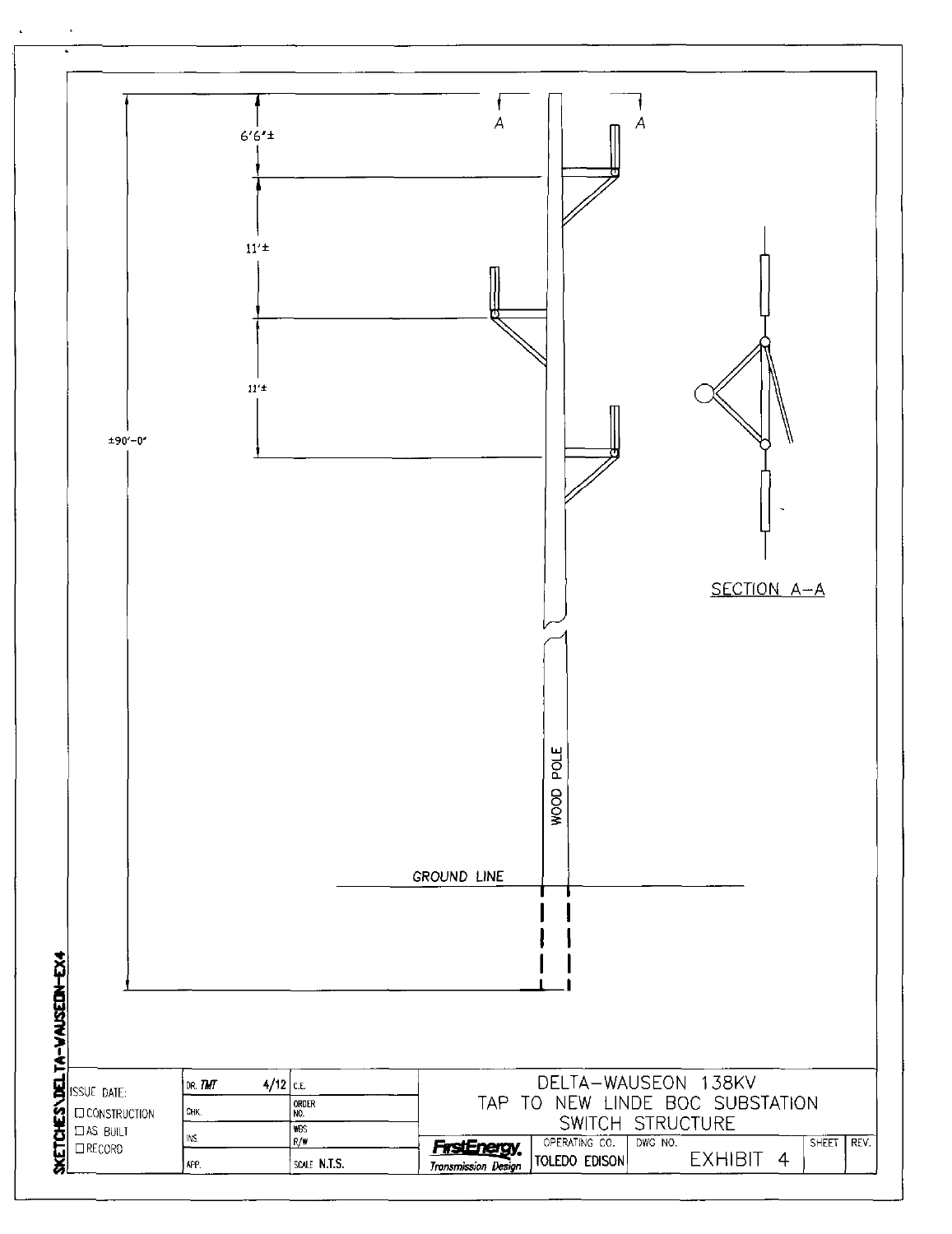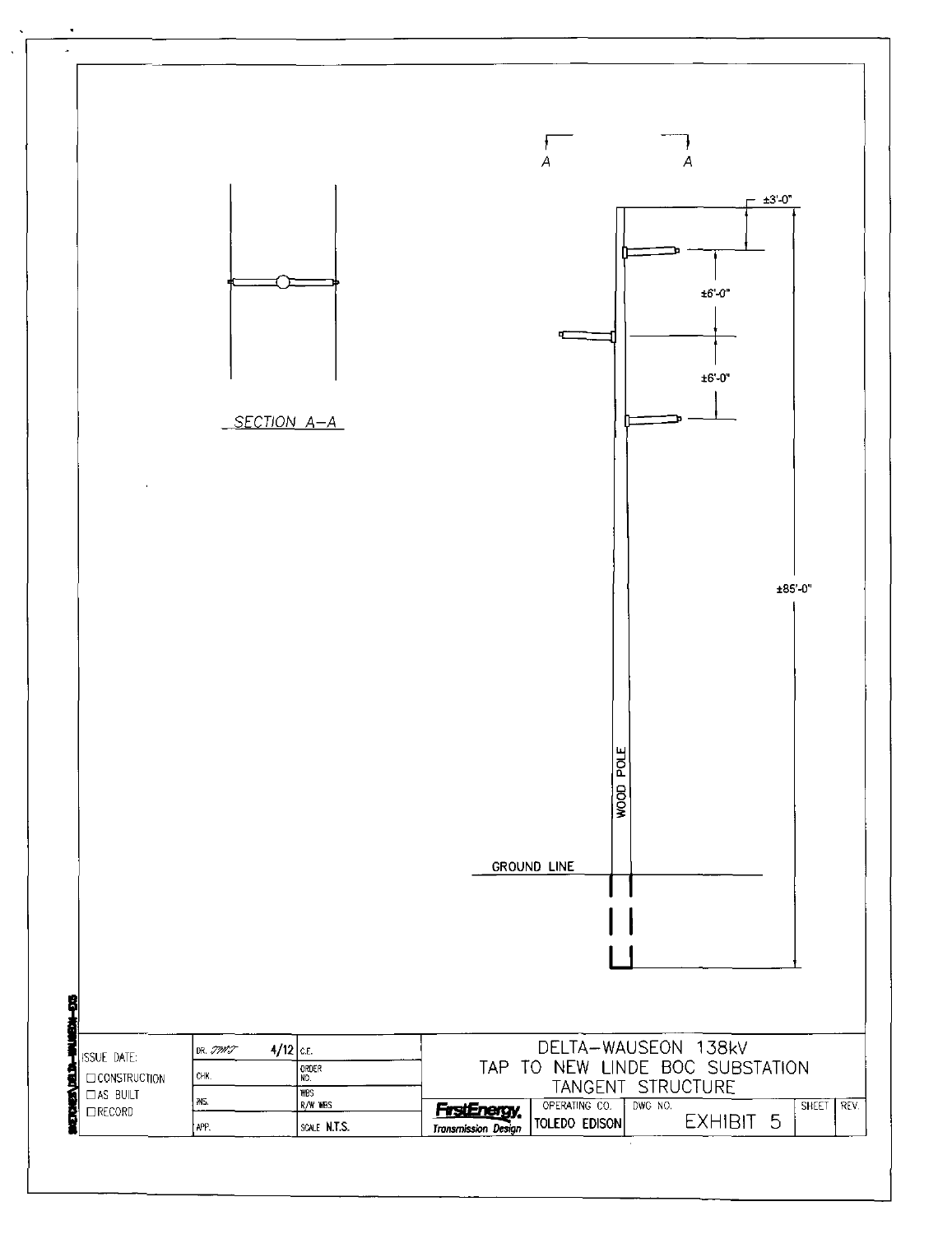